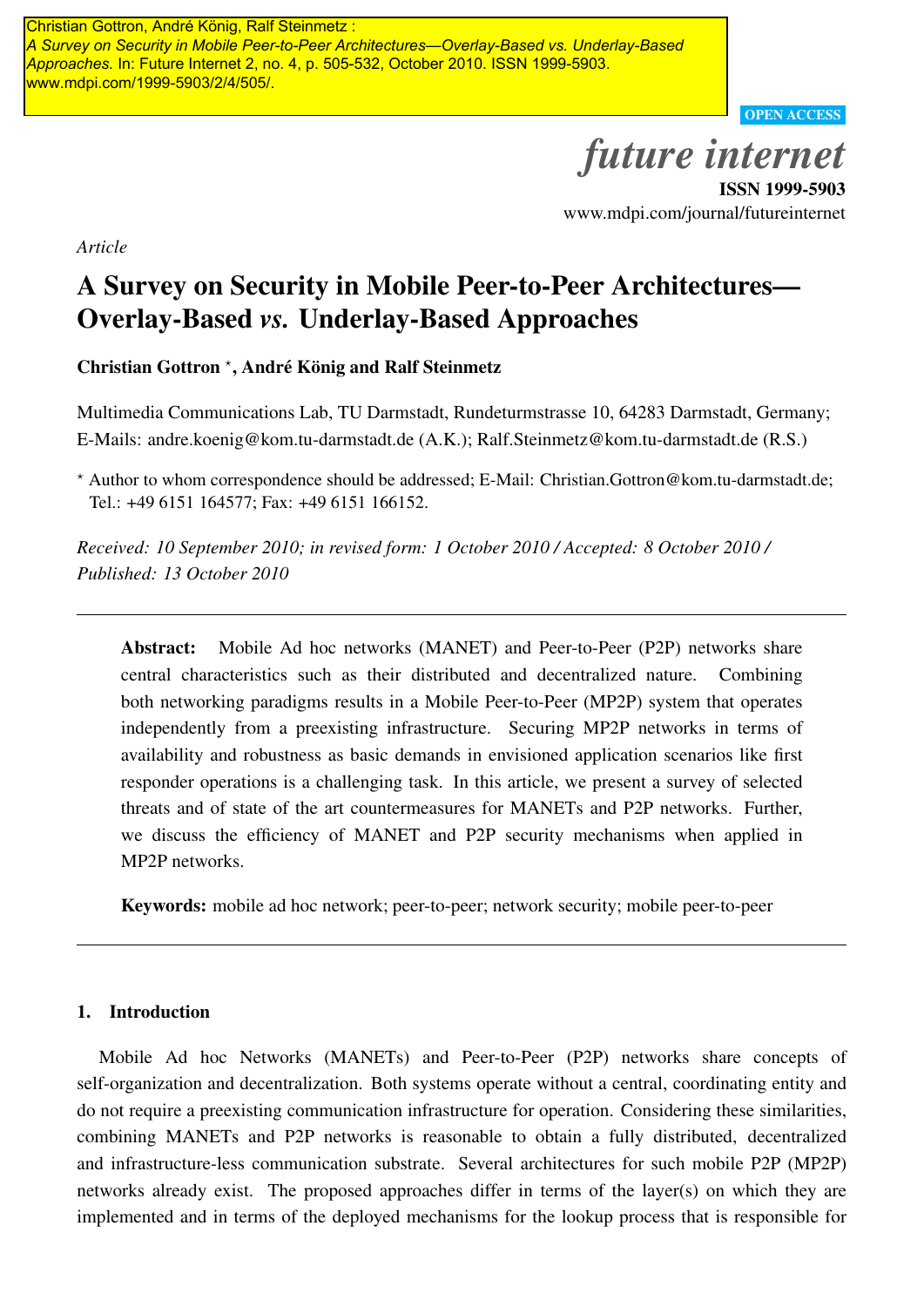*Future Internet* 2010, *2*, 505-532; doi:10.3390/fi2040505 *A Survey on Security in Mobile Peer-to-Peer Architectures—Overlay-Based vs. Underlay-Based Approaches.* In: Future Internet 2, no. 4, p. 505-532, October 2010. ISSN 1999-5903. www.mdpi.com/1999-5903/2/4/505/.

OPEN ACCESS

# *future internet*

ISSN 1999-5903 www.mdpi.com/journal/futureinternet

*Article*

## A Survey on Security in Mobile Peer-to-Peer Architectures— Overlay-Based *vs.* Underlay-Based Approaches

Christian Gottron<sup>\*</sup>, André König and Ralf Steinmetz

Multimedia Communications Lab, TU Darmstadt, Rundeturmstrasse 10, 64283 Darmstadt, Germany; E-Mails: andre.koenig@kom.tu-darmstadt.de (A.K.); Ralf.Steinmetz@kom.tu-darmstadt.de (R.S.)

*<sup>⋆</sup>* Author to whom correspondence should be addressed; E-Mail: Christian.Gottron@kom.tu-darmstadt.de; Tel.: +49 6151 164577; Fax: +49 6151 166152.

*Received: 10 September 2010; in revised form: 1 October 2010 / Accepted: 8 October 2010 / Published: 13 October 2010*

Abstract: Mobile Ad hoc networks (MANET) and Peer-to-Peer (P2P) networks share central characteristics such as their distributed and decentralized nature. Combining both networking paradigms results in a Mobile Peer-to-Peer (MP2P) system that operates independently from a preexisting infrastructure. Securing MP2P networks in terms of availability and robustness as basic demands in envisioned application scenarios like first responder operations is a challenging task. In this article, we present a survey of selected threats and of state of the art countermeasures for MANETs and P2P networks. Further, we discuss the efficiency of MANET and P2P security mechanisms when applied in MP2P networks. **Christian Gottron, For the department of the deployed mechanisms for the deployed mechanisms for the deployed mechanisms for the deployed mechanisms for the deployed mechanisms for the lookup process that is response to** 

Keywords: mobile ad hoc network; peer-to-peer; network security; mobile peer-to-peer

## 1. Introduction

Mobile Ad hoc Networks (MANETs) and Peer-to-Peer (P2P) networks share concepts of self-organization and decentralization. Both systems operate without a central, coordinating entity and do not require a preexisting communication infrastructure for operation. Considering these similarities, combining MANETs and P2P networks is reasonable to obtain a fully distributed, decentralized and infrastructure-less communication substrate. Several architectures for such mobile P2P (MP2P) networks already exist. The proposed approaches differ in terms of the layer(s) on which they are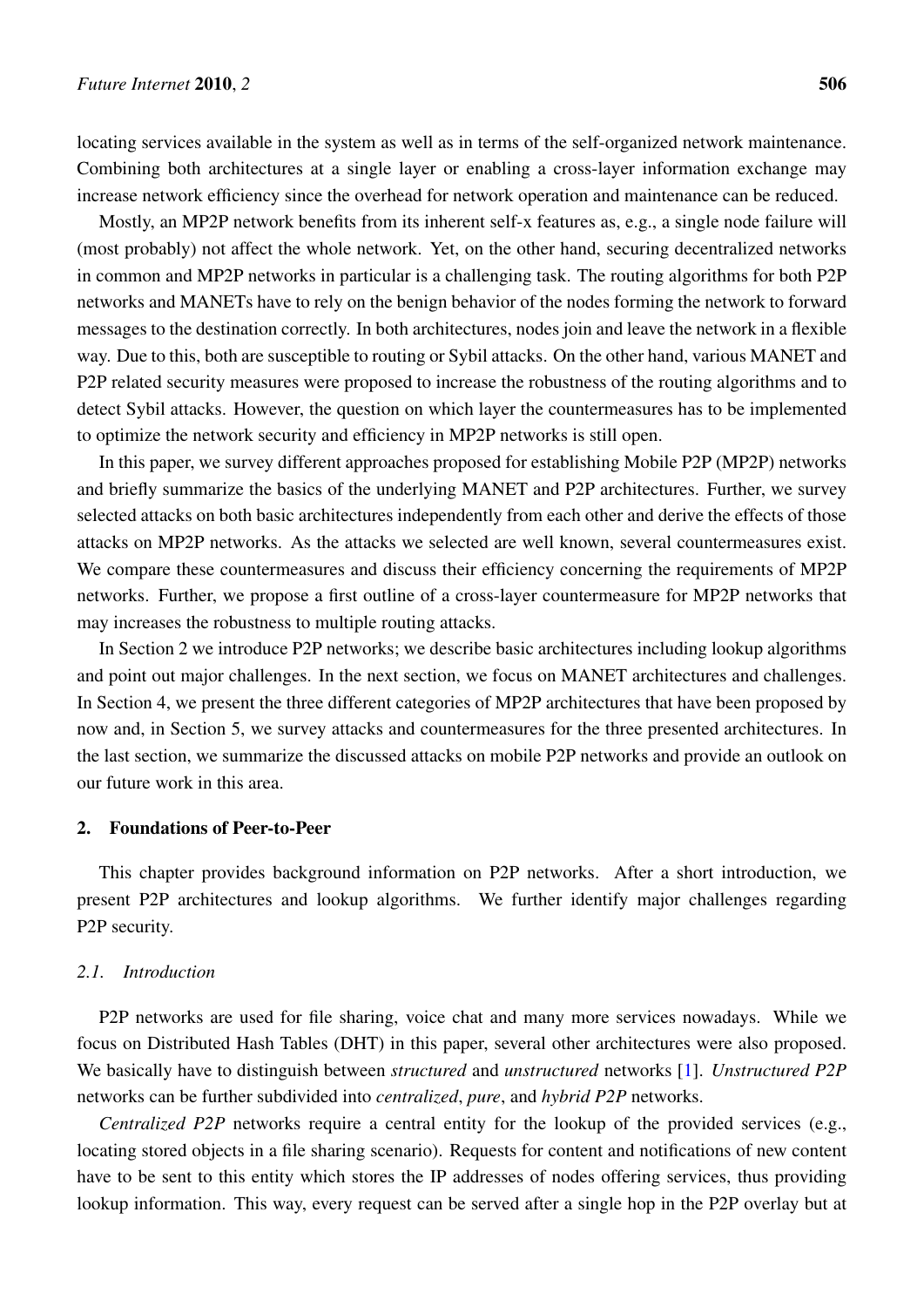locating services available in the system as well as in terms of the self-organized network maintenance. Combining both architectures at a single layer or enabling a cross-layer information exchange may increase network efficiency since the overhead for network operation and maintenance can be reduced.

Mostly, an MP2P network benefits from its inherent self-x features as, e.g., a single node failure will (most probably) not affect the whole network. Yet, on the other hand, securing decentralized networks in common and MP2P networks in particular is a challenging task. The routing algorithms for both P2P networks and MANETs have to rely on the benign behavior of the nodes forming the network to forward messages to the destination correctly. In both architectures, nodes join and leave the network in a flexible way. Due to this, both are susceptible to routing or Sybil attacks. On the other hand, various MANET and P2P related security measures were proposed to increase the robustness of the routing algorithms and to detect Sybil attacks. However, the question on which layer the countermeasures has to be implemented to optimize the network security and efficiency in MP2P networks is still open.

In this paper, we survey different approaches proposed for establishing Mobile P2P (MP2P) networks and briefly summarize the basics of the underlying MANET and P2P architectures. Further, we survey selected attacks on both basic architectures independently from each other and derive the effects of those attacks on MP2P networks. As the attacks we selected are well known, several countermeasures exist. We compare these countermeasures and discuss their efficiency concerning the requirements of MP2P networks. Further, we propose a first outline of a cross-layer countermeasure for MP2P networks that may increases the robustness to multiple routing attacks.

In Section 2 we introduce P2P networks; we describe basic architectures including lookup algorithms and point out major challenges. In the next section, we focus on MANET architectures and challenges. In Section 4, we present the three different categories of MP2P architectures that have been proposed by now and, in Section 5, we survey attacks and countermeasures for the three presented architectures. In the last section, we summarize the discussed attacks on mobile P2P networks and provide an outlook on our future work in this area.

## 2. Foundations of Peer-to-Peer

This chapter provides background information on P2P networks. After a short introduction, we present P2P architectures and lookup algorithms. We further identify major challenges regarding P2P security.

#### *2.1. Introduction*

P2P networks are used for file sharing, voice chat and many more services nowadays. While we focus on Distributed Hash Tables (DHT) in this paper, several other architectures were also proposed. We basically have to distinguish between *structured* and *unstructured* networks [\[1](#page-24-0)]. *Unstructured P2P* networks can be further subdivided into *centralized*, *pure*, and *hybrid P2P* networks.

*Centralized P2P* networks require a central entity for the lookup of the provided services (e.g., locating stored objects in a file sharing scenario). Requests for content and notifications of new content have to be sent to this entity which stores the IP addresses of nodes offering services, thus providing lookup information. This way, every request can be served after a single hop in the P2P overlay but at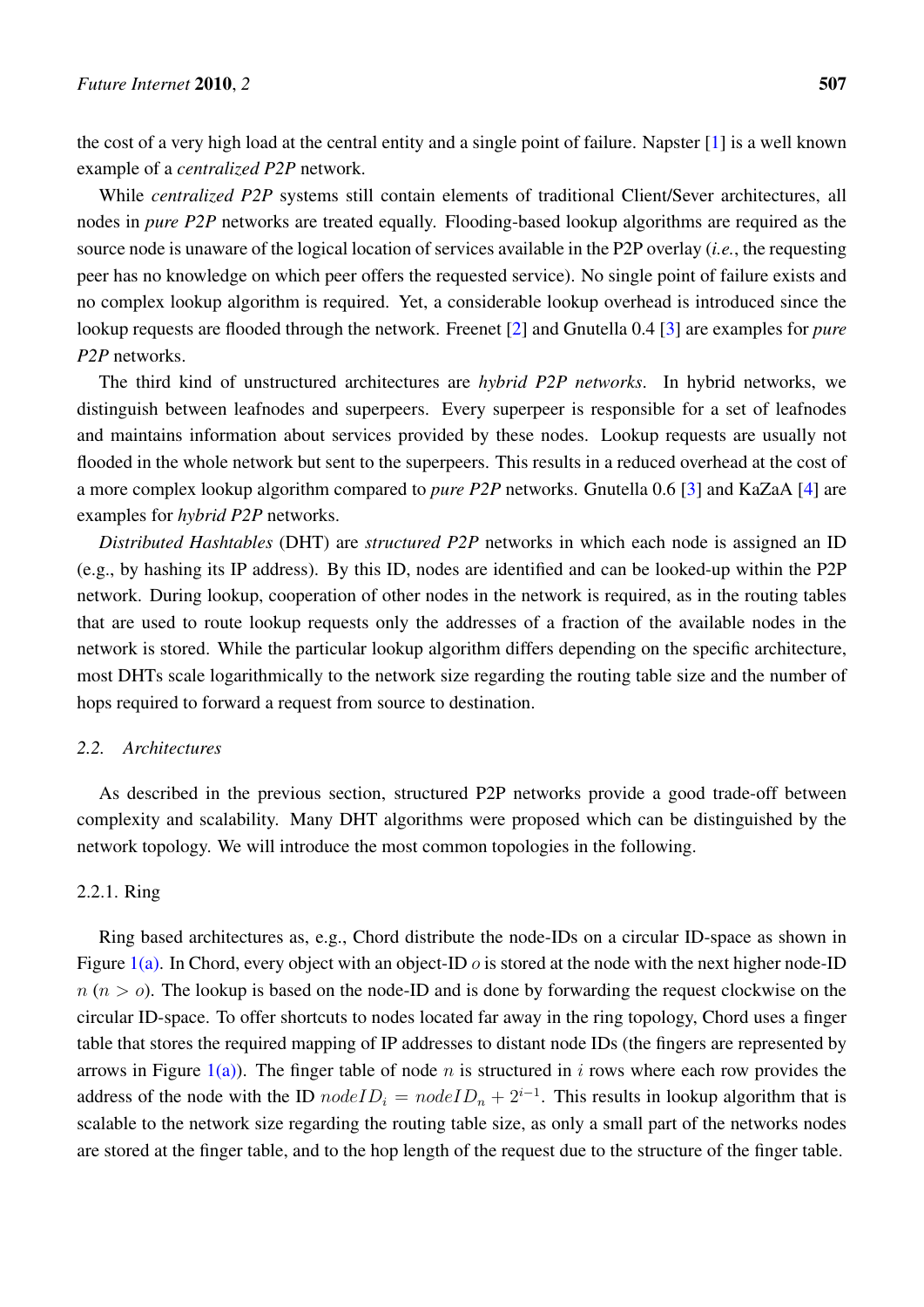the cost of a very high load at the central entity and a single point of failure. Napster [\[1](#page-24-0)] is a well known example of a *centralized P2P* network.

While *centralized P2P* systems still contain elements of traditional Client/Sever architectures, all nodes in *pure P2P* networks are treated equally. Flooding-based lookup algorithms are required as the source node is unaware of the logical location of services available in the P2P overlay (*i.e.*, the requesting peer has no knowledge on which peer offers the requested service). No single point of failure exists and no complex lookup algorithm is required. Yet, a considerable lookup overhead is introduced since the lookup requests are flooded through the network. Freenet [\[2](#page-24-1)] and Gnutella 0.4 [\[3](#page-24-2)] are examples for *pure P2P* networks.

The third kind of unstructured architectures are *hybrid P2P networks*. In hybrid networks, we distinguish between leafnodes and superpeers. Every superpeer is responsible for a set of leafnodes and maintains information about services provided by these nodes. Lookup requests are usually not flooded in the whole network but sent to the superpeers. This results in a reduced overhead at the cost of a more complex lookup algorithm compared to *pure P2P* networks. Gnutella 0.6 [[3\]](#page-24-2) and KaZaA [\[4](#page-24-3)] are examples for *hybrid P2P* networks.

*Distributed Hashtables* (DHT) are *structured P2P* networks in which each node is assigned an ID (e.g., by hashing its IP address). By this ID, nodes are identified and can be looked-up within the P2P network. During lookup, cooperation of other nodes in the network is required, as in the routing tables that are used to route lookup requests only the addresses of a fraction of the available nodes in the network is stored. While the particular lookup algorithm differs depending on the specific architecture, most DHTs scale logarithmically to the network size regarding the routing table size and the number of hops required to forward a request from source to destination.

## *2.2. Architectures*

As described in the previous section, structured P2P networks provide a good trade-off between complexity and scalability. Many DHT algorithms were proposed which can be distinguished by the network topology. We will introduce the most common topologies in the following.

## 2.2.1. Ring

Ring based architectures as, e.g., Chord distribute the node-IDs on a circular ID-space as shown in Figure [1\(a\).](#page-3-0) In Chord, every object with an object-ID *o* is stored at the node with the next higher node-ID  $n (n > 0)$ . The lookup is based on the node-ID and is done by forwarding the request clockwise on the circular ID-space. To offer shortcuts to nodes located far away in the ring topology, Chord uses a finger table that stores the required mapping of IP addresses to distant node IDs (the fingers are represented by arrows in Figure  $1(a)$ ). The finger table of node *n* is structured in *i* rows where each row provides the address of the node with the ID  $nodeID_i = nodeID_n + 2^{i-1}$ . This results in lookup algorithm that is scalable to the network size regarding the routing table size, as only a small part of the networks nodes are stored at the finger table, and to the hop length of the request due to the structure of the finger table.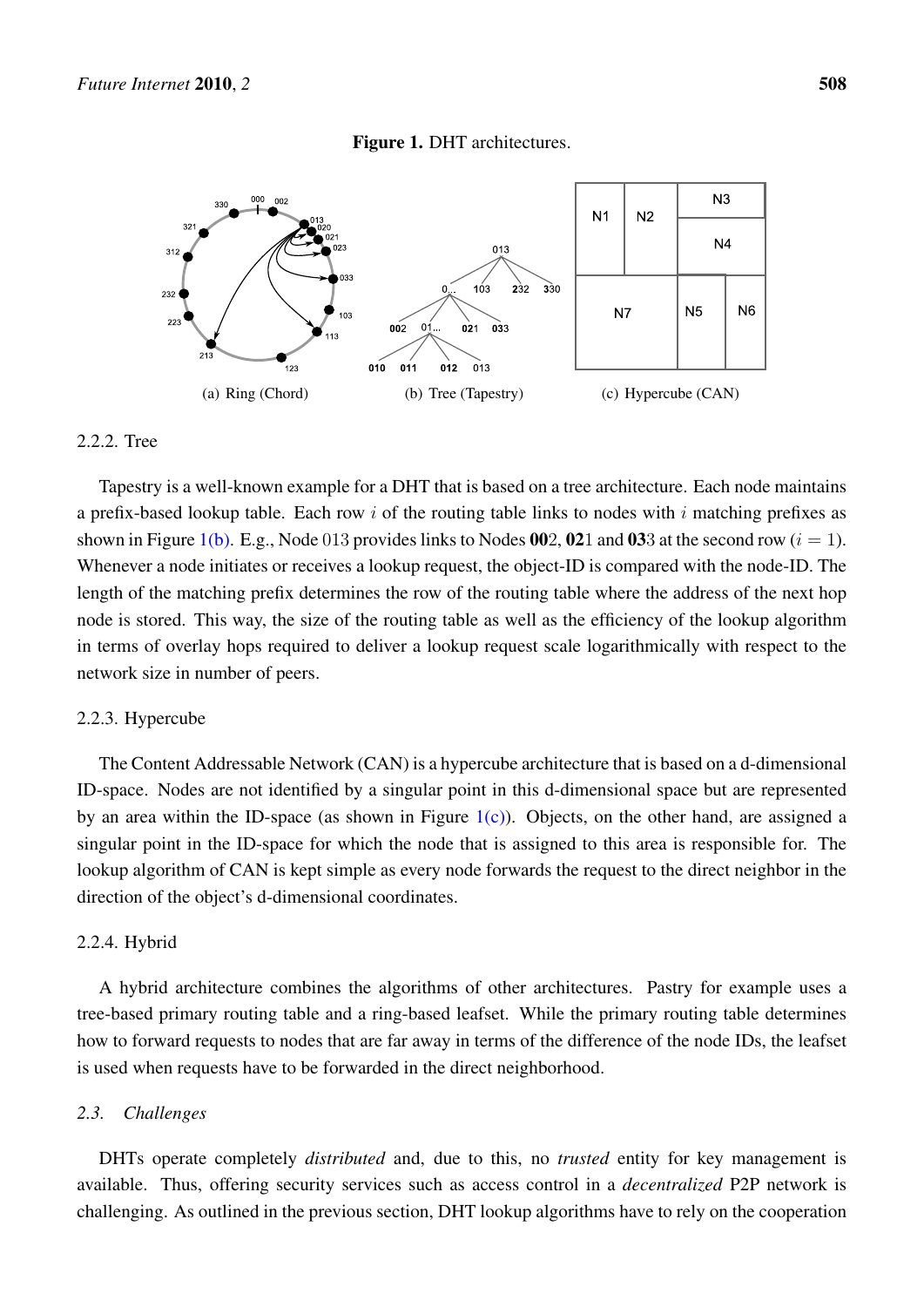#### <span id="page-3-2"></span><span id="page-3-1"></span>Figure 1. DHT architectures.

<span id="page-3-0"></span>

#### 2.2.2. Tree

Tapestry is a well-known example for a DHT that is based on a tree architecture. Each node maintains a prefix-based lookup table. Each row *i* of the routing table links to nodes with *i* matching prefixes as shown in Figure [1\(b\)](#page-3-1). E.g., Node 013 provides links to Nodes 002, 021 and 033 at the second row  $(i = 1)$ . Whenever a node initiates or receives a lookup request, the object-ID is compared with the node-ID. The length of the matching prefix determines the row of the routing table where the address of the next hop node is stored. This way, the size of the routing table as well as the efficiency of the lookup algorithm in terms of overlay hops required to deliver a lookup request scale logarithmically with respect to the network size in number of peers.

#### 2.2.3. Hypercube

The Content Addressable Network (CAN) is a hypercube architecture that is based on a d-dimensional ID-space. Nodes are not identified by a singular point in this d-dimensional space but are represented by an area within the ID-space (as shown in Figure  $1(c)$ ). Objects, on the other hand, are assigned a singular point in the ID-space for which the node that is assigned to this area is responsible for. The lookup algorithm of CAN is kept simple as every node forwards the request to the direct neighbor in the direction of the object's d-dimensional coordinates.

## 2.2.4. Hybrid

A hybrid architecture combines the algorithms of other architectures. Pastry for example uses a tree-based primary routing table and a ring-based leafset. While the primary routing table determines how to forward requests to nodes that are far away in terms of the difference of the node IDs, the leafset is used when requests have to be forwarded in the direct neighborhood.

## *2.3. Challenges*

DHTs operate completely *distributed* and, due to this, no *trusted* entity for key management is available. Thus, offering security services such as access control in a *decentralized* P2P network is challenging. As outlined in the previous section, DHT lookup algorithms have to rely on the cooperation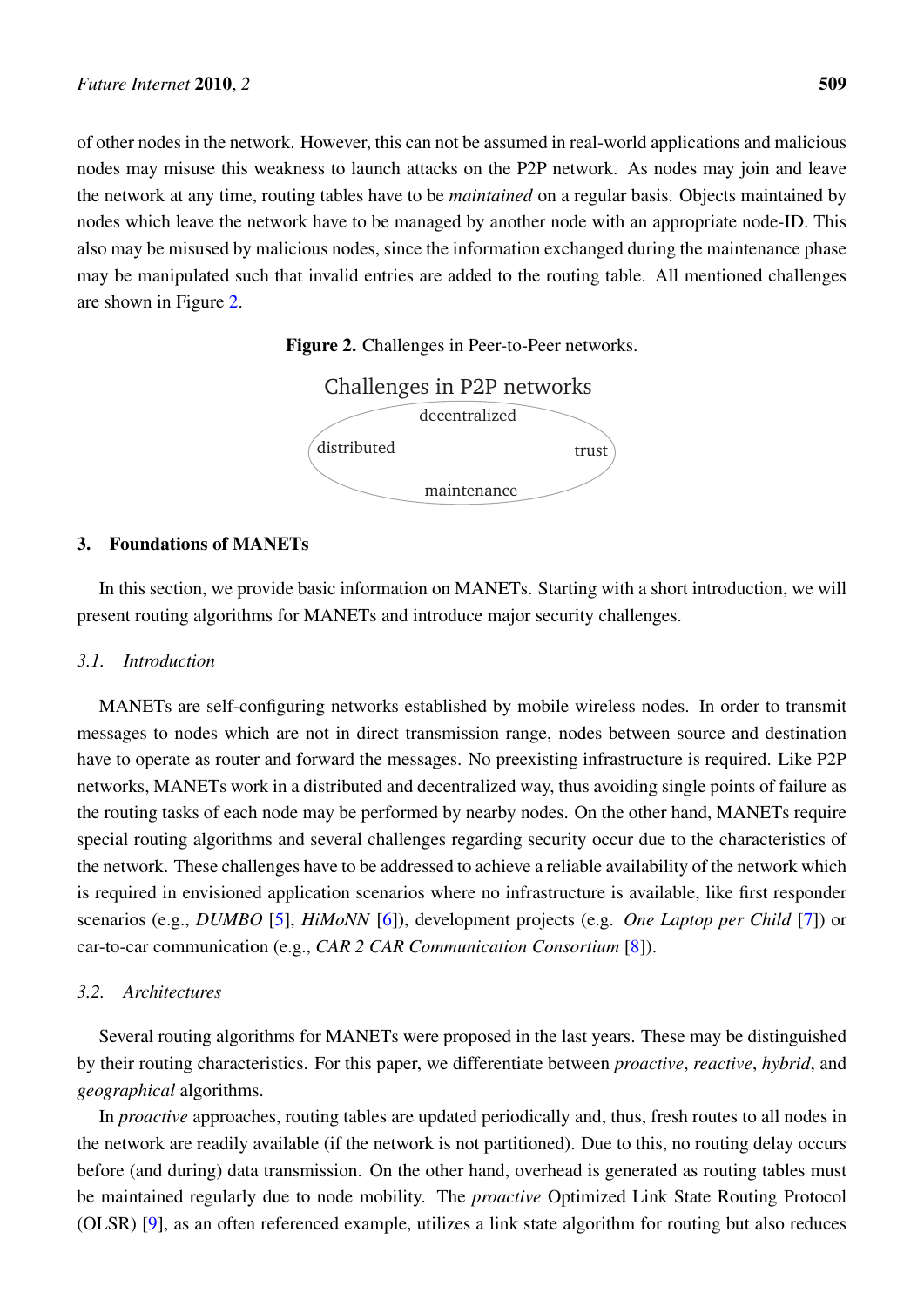<span id="page-4-0"></span>of other nodes in the network. However, this can not be assumed in real-world applications and malicious nodes may misuse this weakness to launch attacks on the P2P network. As nodes may join and leave the network at any time, routing tables have to be *maintained* on a regular basis. Objects maintained by nodes which leave the network have to be managed by another node with an appropriate node-ID. This also may be misused by malicious nodes, since the information exchanged during the maintenance phase may be manipulated such that invalid entries are added to the routing table. All mentioned challenges are shown in Figure [2.](#page-4-0)





## 3. Foundations of MANETs

In this section, we provide basic information on MANETs. Starting with a short introduction, we will present routing algorithms for MANETs and introduce major security challenges.

## *3.1. Introduction*

MANETs are self-configuring networks established by mobile wireless nodes. In order to transmit messages to nodes which are not in direct transmission range, nodes between source and destination have to operate as router and forward the messages. No preexisting infrastructure is required. Like P2P networks, MANETs work in a distributed and decentralized way, thus avoiding single points of failure as the routing tasks of each node may be performed by nearby nodes. On the other hand, MANETs require special routing algorithms and several challenges regarding security occur due to the characteristics of the network. These challenges have to be addressed to achieve a reliable availability of the network which is required in envisioned application scenarios where no infrastructure is available, like first responder scenarios (e.g., *DUMBO* [\[5](#page-24-4)], *HiMoNN* [[6\]](#page-24-5)), development projects (e.g. *One Laptop per Child* [[7\]](#page-24-6)) or car-to-car communication (e.g., *CAR 2 CAR Communication Consortium* [\[8](#page-24-7)]).

## *3.2. Architectures*

Several routing algorithms for MANETs were proposed in the last years. These may be distinguished by their routing characteristics. For this paper, we differentiate between *proactive*, *reactive*, *hybrid*, and *geographical* algorithms.

In *proactive* approaches, routing tables are updated periodically and, thus, fresh routes to all nodes in the network are readily available (if the network is not partitioned). Due to this, no routing delay occurs before (and during) data transmission. On the other hand, overhead is generated as routing tables must be maintained regularly due to node mobility. The *proactive* Optimized Link State Routing Protocol (OLSR) [[9\]](#page-24-8), as an often referenced example, utilizes a link state algorithm for routing but also reduces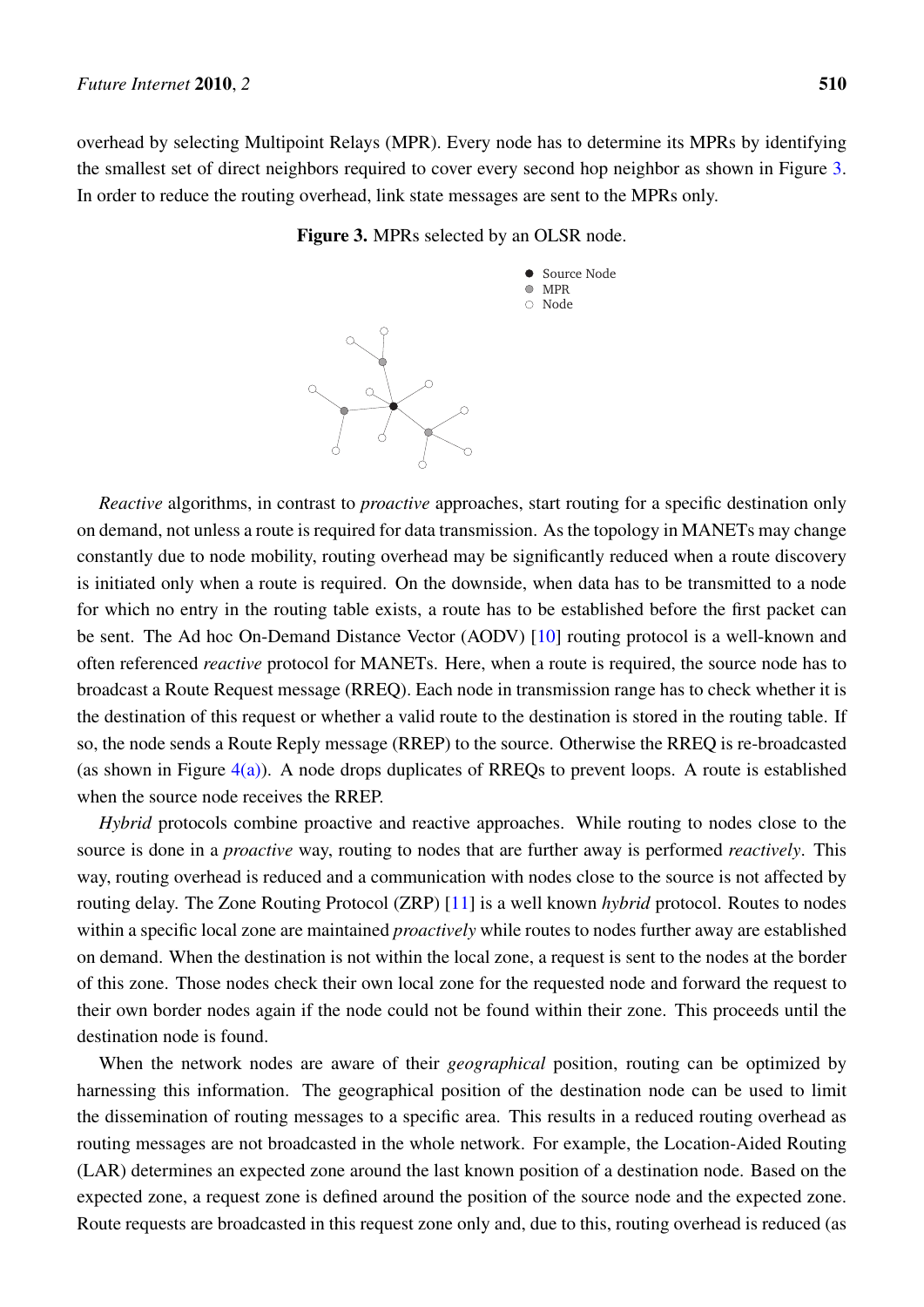<span id="page-5-0"></span>overhead by selecting Multipoint Relays (MPR). Every node has to determine its MPRs by identifying the smallest set of direct neighbors required to cover every second hop neighbor as shown in Figure [3.](#page-5-0) In order to reduce the routing overhead, link state messages are sent to the MPRs only.





*Reactive* algorithms, in contrast to *proactive* approaches, start routing for a specific destination only on demand, not unless a route is required for data transmission. As the topology in MANETs may change constantly due to node mobility, routing overhead may be significantly reduced when a route discovery is initiated only when a route is required. On the downside, when data has to be transmitted to a node for which no entry in the routing table exists, a route has to be established before the first packet can be sent. The Ad hoc On-Demand Distance Vector (AODV) [\[10](#page-24-9)] routing protocol is a well-known and often referenced *reactive* protocol for MANETs. Here, when a route is required, the source node has to broadcast a Route Request message (RREQ). Each node in transmission range has to check whether it is the destination of this request or whether a valid route to the destination is stored in the routing table. If so, the node sends a Route Reply message (RREP) to the source. Otherwise the RREQ is re-broadcasted (as shown in Figure  $4(a)$ ). A node drops duplicates of RREQs to prevent loops. A route is established when the source node receives the RREP.

*Hybrid* protocols combine proactive and reactive approaches. While routing to nodes close to the source is done in a *proactive* way, routing to nodes that are further away is performed *reactively*. This way, routing overhead is reduced and a communication with nodes close to the source is not affected by routing delay. The Zone Routing Protocol (ZRP) [[11](#page-24-10)] is a well known *hybrid* protocol. Routes to nodes within a specific local zone are maintained *proactively* while routes to nodes further away are established on demand. When the destination is not within the local zone, a request is sent to the nodes at the border of this zone. Those nodes check their own local zone for the requested node and forward the request to their own border nodes again if the node could not be found within their zone. This proceeds until the destination node is found.

When the network nodes are aware of their *geographical* position, routing can be optimized by harnessing this information. The geographical position of the destination node can be used to limit the dissemination of routing messages to a specific area. This results in a reduced routing overhead as routing messages are not broadcasted in the whole network. For example, the Location-Aided Routing (LAR) determines an expected zone around the last known position of a destination node. Based on the expected zone, a request zone is defined around the position of the source node and the expected zone. Route requests are broadcasted in this request zone only and, due to this, routing overhead is reduced (as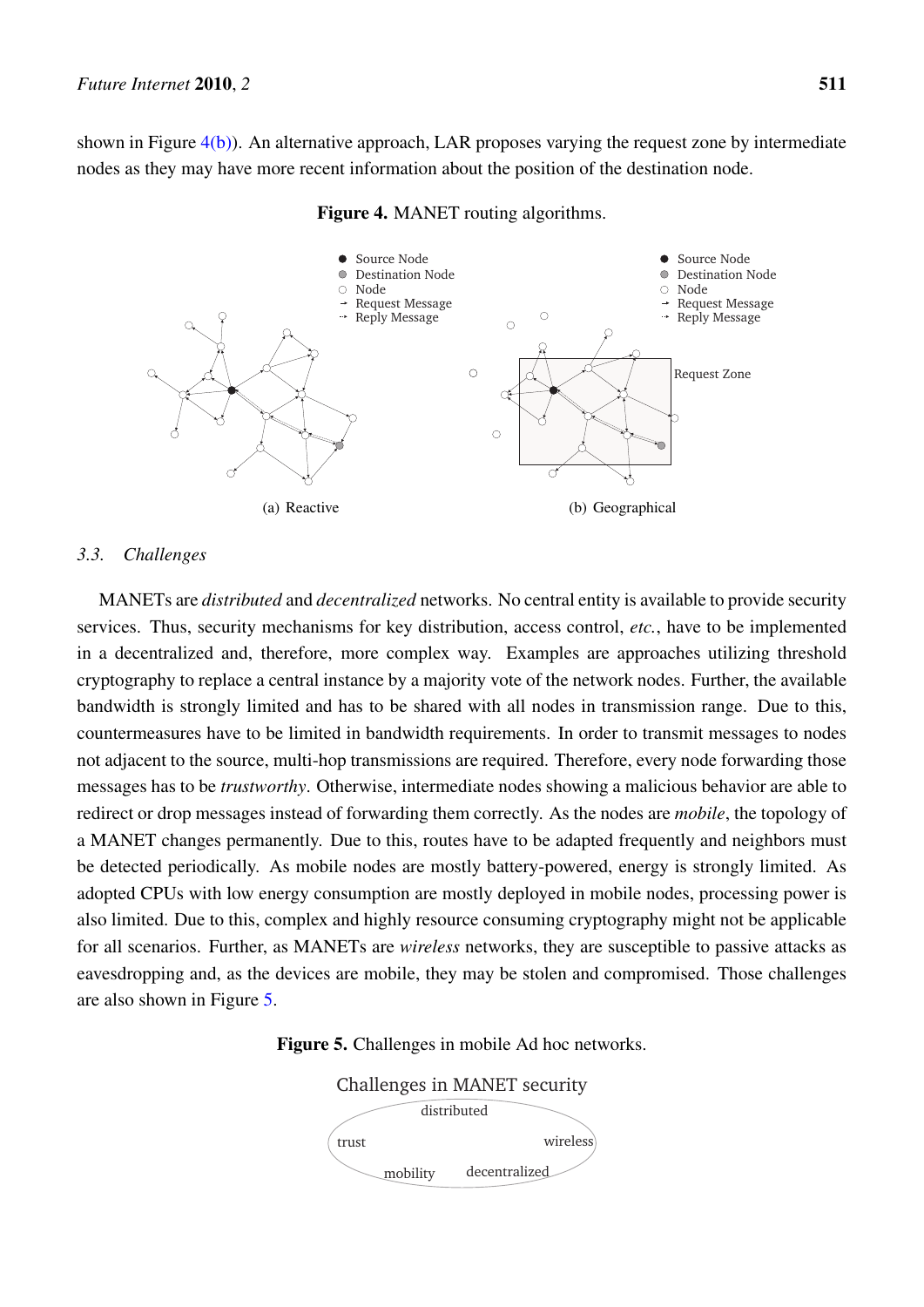shown in Figure  $(4(b))$  $(4(b))$  $(4(b))$ . An alternative approach, LAR proposes varying the request zone by intermediate nodes as they may have more recent information about the position of the destination node.

<span id="page-6-0"></span>

<span id="page-6-1"></span>Figure 4. MANET routing algorithms.

#### *3.3. Challenges*

MANETs are *distributed* and *decentralized* networks. No central entity is available to provide security services. Thus, security mechanisms for key distribution, access control, *etc.*, have to be implemented in a decentralized and, therefore, more complex way. Examples are approaches utilizing threshold cryptography to replace a central instance by a majority vote of the network nodes. Further, the available bandwidth is strongly limited and has to be shared with all nodes in transmission range. Due to this, countermeasures have to be limited in bandwidth requirements. In order to transmit messages to nodes not adjacent to the source, multi-hop transmissions are required. Therefore, every node forwarding those messages has to be *trustworthy*. Otherwise, intermediate nodes showing a malicious behavior are able to redirect or drop messages instead of forwarding them correctly. As the nodes are *mobile*, the topology of a MANET changes permanently. Due to this, routes have to be adapted frequently and neighbors must be detected periodically. As mobile nodes are mostly battery-powered, energy is strongly limited. As adopted CPUs with low energy consumption are mostly deployed in mobile nodes, processing power is also limited. Due to this, complex and highly resource consuming cryptography might not be applicable for all scenarios. Further, as MANETs are *wireless* networks, they are susceptible to passive attacks as eavesdropping and, as the devices are mobile, they may be stolen and compromised. Those challenges are also shown in Figure [5.](#page-6-2)

<span id="page-6-2"></span>

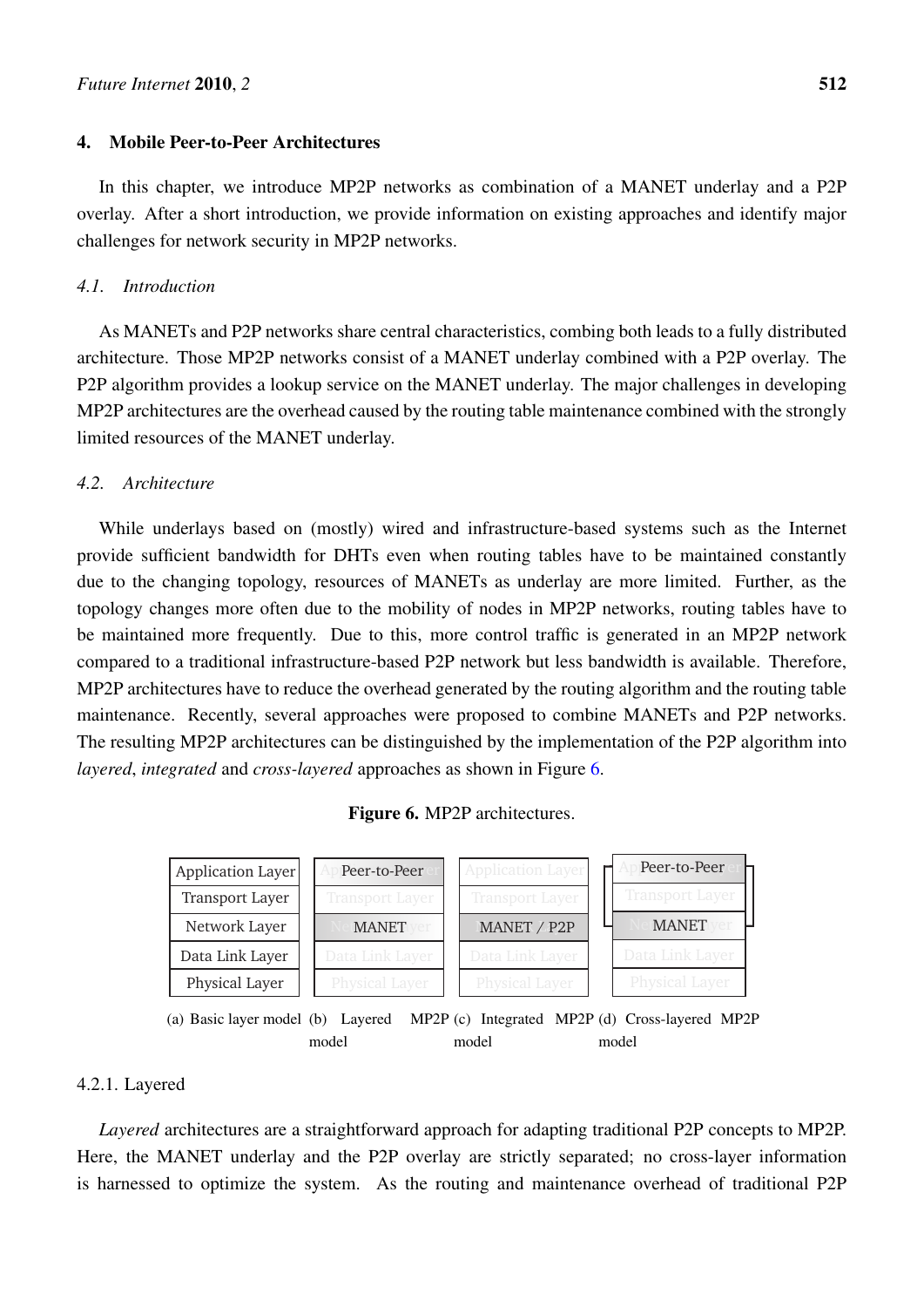## 4. Mobile Peer-to-Peer Architectures

In this chapter, we introduce MP2P networks as combination of a MANET underlay and a P2P overlay. After a short introduction, we provide information on existing approaches and identify major challenges for network security in MP2P networks.

## *4.1. Introduction*

As MANETs and P2P networks share central characteristics, combing both leads to a fully distributed architecture. Those MP2P networks consist of a MANET underlay combined with a P2P overlay. The P2P algorithm provides a lookup service on the MANET underlay. The major challenges in developing MP2P architectures are the overhead caused by the routing table maintenance combined with the strongly limited resources of the MANET underlay.

## *4.2. Architecture*

While underlays based on (mostly) wired and infrastructure-based systems such as the Internet provide sufficient bandwidth for DHTs even when routing tables have to be maintained constantly due to the changing topology, resources of MANETs as underlay are more limited. Further, as the topology changes more often due to the mobility of nodes in MP2P networks, routing tables have to be maintained more frequently. Due to this, more control traffic is generated in an MP2P network compared to a traditional infrastructure-based P2P network but less bandwidth is available. Therefore, MP2P architectures have to reduce the overhead generated by the routing algorithm and the routing table maintenance. Recently, several approaches were proposed to combine MANETs and P2P networks. The resulting MP2P architectures can be distinguished by the implementation of the P2P algorithm into *layered*, *integrated* and *cross-layered* approaches as shown in Figure [6.](#page-7-0)

## <span id="page-7-2"></span><span id="page-7-1"></span>Figure 6. MP2P architectures.

<span id="page-7-0"></span>

#### 4.2.1. Layered

*Layered* architectures are a straightforward approach for adapting traditional P2P concepts to MP2P. Here, the MANET underlay and the P2P overlay are strictly separated; no cross-layer information is harnessed to optimize the system. As the routing and maintenance overhead of traditional P2P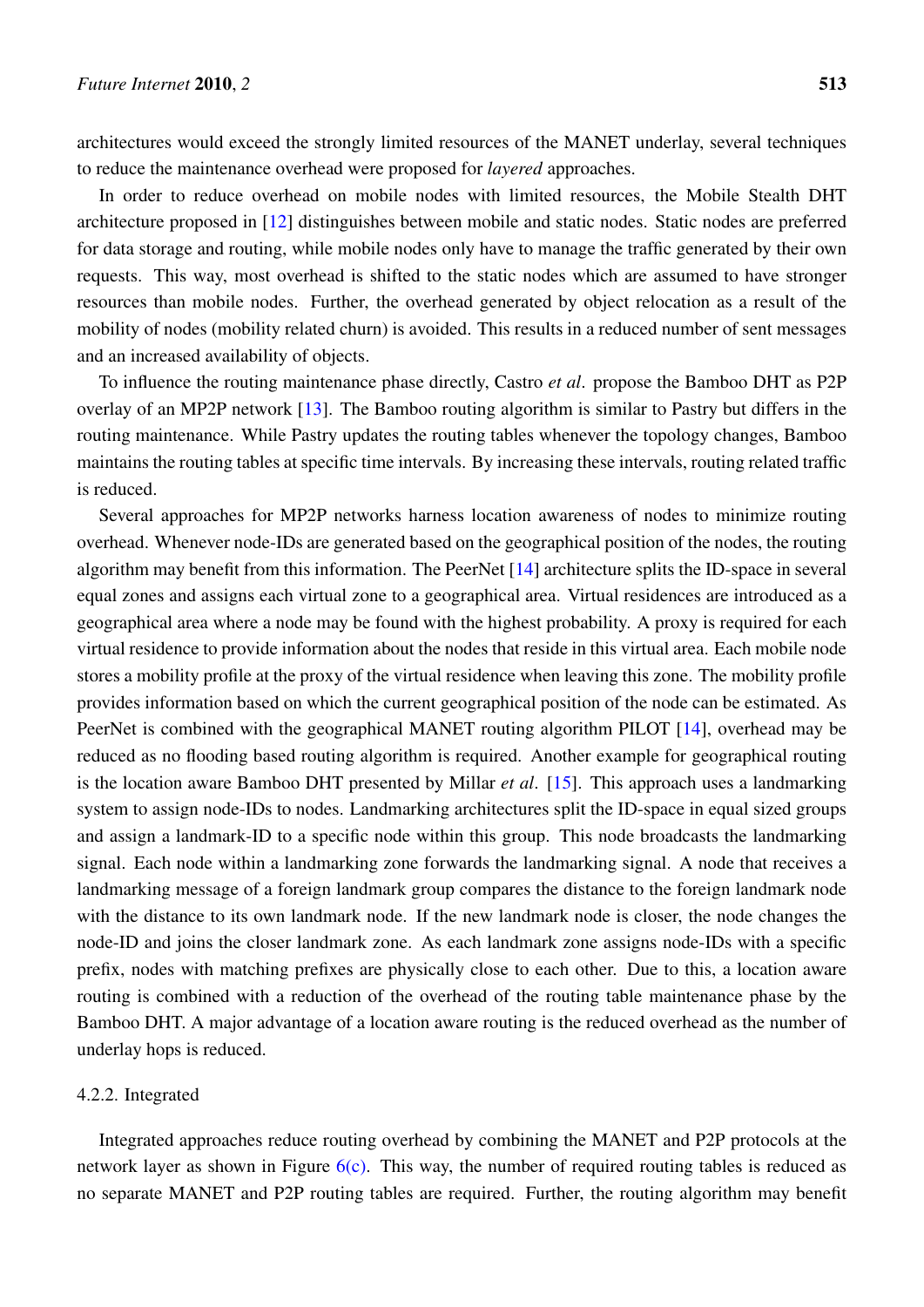architectures would exceed the strongly limited resources of the MANET underlay, several techniques to reduce the maintenance overhead were proposed for *layered* approaches.

In order to reduce overhead on mobile nodes with limited resources, the Mobile Stealth DHT architecture proposed in [\[12\]](#page-24-11) distinguishes between mobile and static nodes. Static nodes are preferred for data storage and routing, while mobile nodes only have to manage the traffic generated by their own requests. This way, most overhead is shifted to the static nodes which are assumed to have stronger resources than mobile nodes. Further, the overhead generated by object relocation as a result of the mobility of nodes (mobility related churn) is avoided. This results in a reduced number of sent messages and an increased availability of objects.

To influence the routing maintenance phase directly, Castro *et al*. propose the Bamboo DHT as P2P overlay of an MP2P network [[13\]](#page-25-0). The Bamboo routing algorithm is similar to Pastry but differs in the routing maintenance. While Pastry updates the routing tables whenever the topology changes, Bamboo maintains the routing tables at specific time intervals. By increasing these intervals, routing related traffic is reduced.

Several approaches for MP2P networks harness location awareness of nodes to minimize routing overhead. Whenever node-IDs are generated based on the geographical position of the nodes, the routing algorithm may benefit from this information. The PeerNet [\[14\]](#page-25-1) architecture splits the ID-space in several equal zones and assigns each virtual zone to a geographical area. Virtual residences are introduced as a geographical area where a node may be found with the highest probability. A proxy is required for each virtual residence to provide information about the nodes that reside in this virtual area. Each mobile node stores a mobility profile at the proxy of the virtual residence when leaving this zone. The mobility profile provides information based on which the current geographical position of the node can be estimated. As PeerNet is combined with the geographical MANET routing algorithm PILOT [[14\]](#page-25-1), overhead may be reduced as no flooding based routing algorithm is required. Another example for geographical routing is the location aware Bamboo DHT presented by Millar *et al*. [\[15](#page-25-2)]. This approach uses a landmarking system to assign node-IDs to nodes. Landmarking architectures split the ID-space in equal sized groups and assign a landmark-ID to a specific node within this group. This node broadcasts the landmarking signal. Each node within a landmarking zone forwards the landmarking signal. A node that receives a landmarking message of a foreign landmark group compares the distance to the foreign landmark node with the distance to its own landmark node. If the new landmark node is closer, the node changes the node-ID and joins the closer landmark zone. As each landmark zone assigns node-IDs with a specific prefix, nodes with matching prefixes are physically close to each other. Due to this, a location aware routing is combined with a reduction of the overhead of the routing table maintenance phase by the Bamboo DHT. A major advantage of a location aware routing is the reduced overhead as the number of underlay hops is reduced.

## 4.2.2. Integrated

Integrated approaches reduce routing overhead by combining the MANET and P2P protocols at the network layer as shown in Figure  $6(c)$ . This way, the number of required routing tables is reduced as no separate MANET and P2P routing tables are required. Further, the routing algorithm may benefit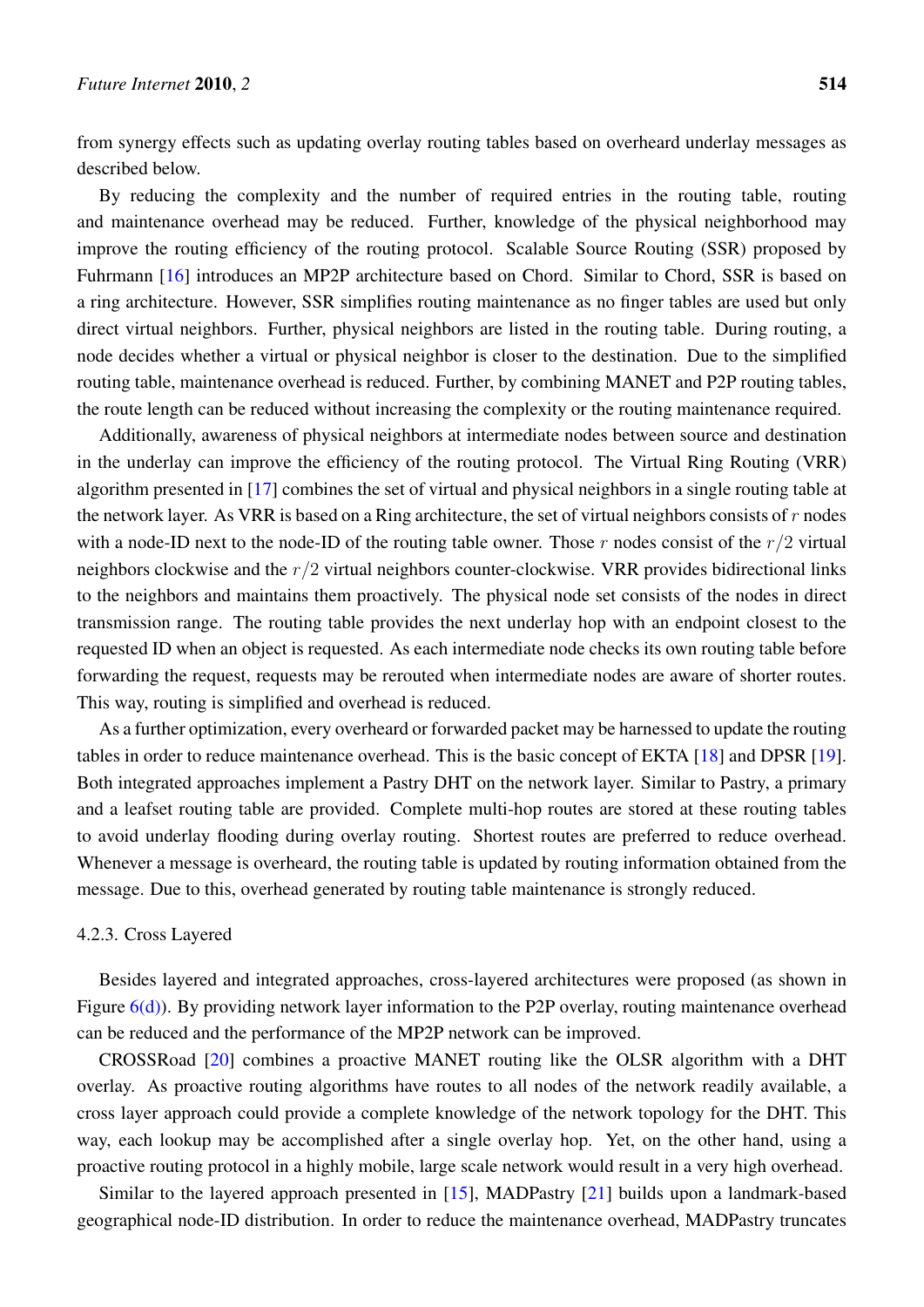from synergy effects such as updating overlay routing tables based on overheard underlay messages as described below.

By reducing the complexity and the number of required entries in the routing table, routing and maintenance overhead may be reduced. Further, knowledge of the physical neighborhood may improve the routing efficiency of the routing protocol. Scalable Source Routing (SSR) proposed by Fuhrmann [[16\]](#page-25-3) introduces an MP2P architecture based on Chord. Similar to Chord, SSR is based on a ring architecture. However, SSR simplifies routing maintenance as no finger tables are used but only direct virtual neighbors. Further, physical neighbors are listed in the routing table. During routing, a node decides whether a virtual or physical neighbor is closer to the destination. Due to the simplified routing table, maintenance overhead is reduced. Further, by combining MANET and P2P routing tables, the route length can be reduced without increasing the complexity or the routing maintenance required.

Additionally, awareness of physical neighbors at intermediate nodes between source and destination in the underlay can improve the efficiency of the routing protocol. The Virtual Ring Routing (VRR) algorithm presented in [\[17](#page-25-4)] combines the set of virtual and physical neighbors in a single routing table at the network layer. As VRR is based on a Ring architecture, the set of virtual neighbors consists of *r* nodes with a node-ID next to the node-ID of the routing table owner. Those *r* nodes consist of the *r/*2 virtual neighbors clockwise and the *r/*2 virtual neighbors counter-clockwise. VRR provides bidirectional links to the neighbors and maintains them proactively. The physical node set consists of the nodes in direct transmission range. The routing table provides the next underlay hop with an endpoint closest to the requested ID when an object is requested. As each intermediate node checks its own routing table before forwarding the request, requests may be rerouted when intermediate nodes are aware of shorter routes. This way, routing is simplified and overhead is reduced.

As a further optimization, every overheard or forwarded packet may be harnessed to update the routing tables in order to reduce maintenance overhead. This is the basic concept of EKTA [\[18](#page-25-5)] and DPSR [[19\]](#page-25-6). Both integrated approaches implement a Pastry DHT on the network layer. Similar to Pastry, a primary and a leafset routing table are provided. Complete multi-hop routes are stored at these routing tables to avoid underlay flooding during overlay routing. Shortest routes are preferred to reduce overhead. Whenever a message is overheard, the routing table is updated by routing information obtained from the message. Due to this, overhead generated by routing table maintenance is strongly reduced.

## 4.2.3. Cross Layered

Besides layered and integrated approaches, cross-layered architectures were proposed (as shown in Figure  $6(d)$ ). By providing network layer information to the P2P overlay, routing maintenance overhead can be reduced and the performance of the MP2P network can be improved.

CROSSRoad [[20](#page-25-7)] combines a proactive MANET routing like the OLSR algorithm with a DHT overlay. As proactive routing algorithms have routes to all nodes of the network readily available, a cross layer approach could provide a complete knowledge of the network topology for the DHT. This way, each lookup may be accomplished after a single overlay hop. Yet, on the other hand, using a proactive routing protocol in a highly mobile, large scale network would result in a very high overhead.

Similar to the layered approach presented in [[15\]](#page-25-2), MADPastry [[21\]](#page-25-8) builds upon a landmark-based geographical node-ID distribution. In order to reduce the maintenance overhead, MADPastry truncates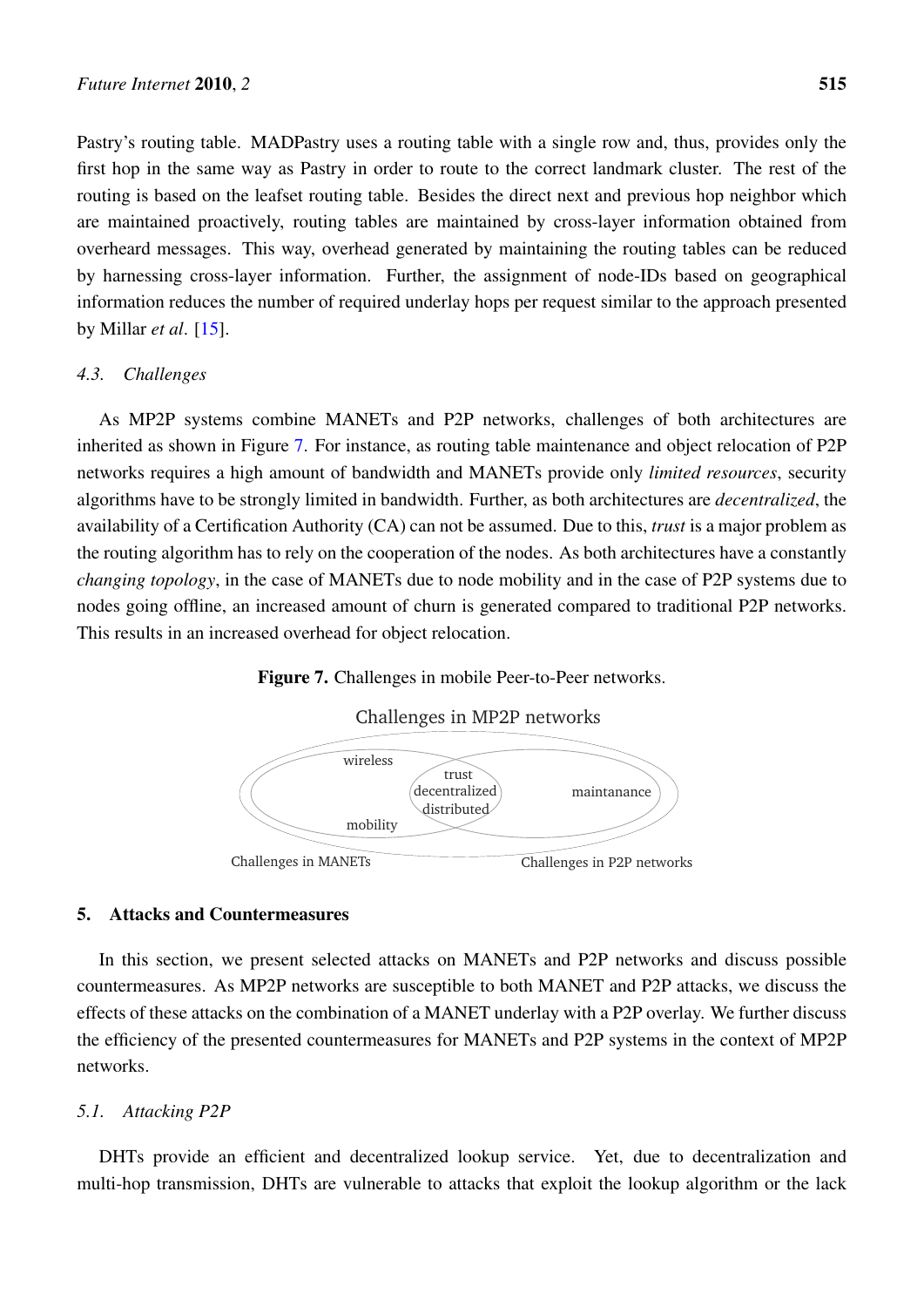Pastry's routing table. MADPastry uses a routing table with a single row and, thus, provides only the first hop in the same way as Pastry in order to route to the correct landmark cluster. The rest of the routing is based on the leafset routing table. Besides the direct next and previous hop neighbor which are maintained proactively, routing tables are maintained by cross-layer information obtained from overheard messages. This way, overhead generated by maintaining the routing tables can be reduced by harnessing cross-layer information. Further, the assignment of node-IDs based on geographical information reduces the number of required underlay hops per request similar to the approach presented by Millar *et al*. [\[15\]](#page-25-2).

## *4.3. Challenges*

As MP2P systems combine MANETs and P2P networks, challenges of both architectures are inherited as shown in Figure [7.](#page-10-0) For instance, as routing table maintenance and object relocation of P2P networks requires a high amount of bandwidth and MANETs provide only *limited resources*, security algorithms have to be strongly limited in bandwidth. Further, as both architectures are *decentralized*, the availability of a Certification Authority (CA) can not be assumed. Due to this, *trust* is a major problem as the routing algorithm has to rely on the cooperation of the nodes. As both architectures have a constantly *changing topology*, in the case of MANETs due to node mobility and in the case of P2P systems due to nodes going offline, an increased amount of churn is generated compared to traditional P2P networks. This results in an increased overhead for object relocation.

## Figure 7. Challenges in mobile Peer-to-Peer networks.



<span id="page-10-0"></span>

## 5. Attacks and Countermeasures

In this section, we present selected attacks on MANETs and P2P networks and discuss possible countermeasures. As MP2P networks are susceptible to both MANET and P2P attacks, we discuss the effects of these attacks on the combination of a MANET underlay with a P2P overlay. We further discuss the efficiency of the presented countermeasures for MANETs and P2P systems in the context of MP2P networks.

## *5.1. Attacking P2P*

DHTs provide an efficient and decentralized lookup service. Yet, due to decentralization and multi-hop transmission, DHTs are vulnerable to attacks that exploit the lookup algorithm or the lack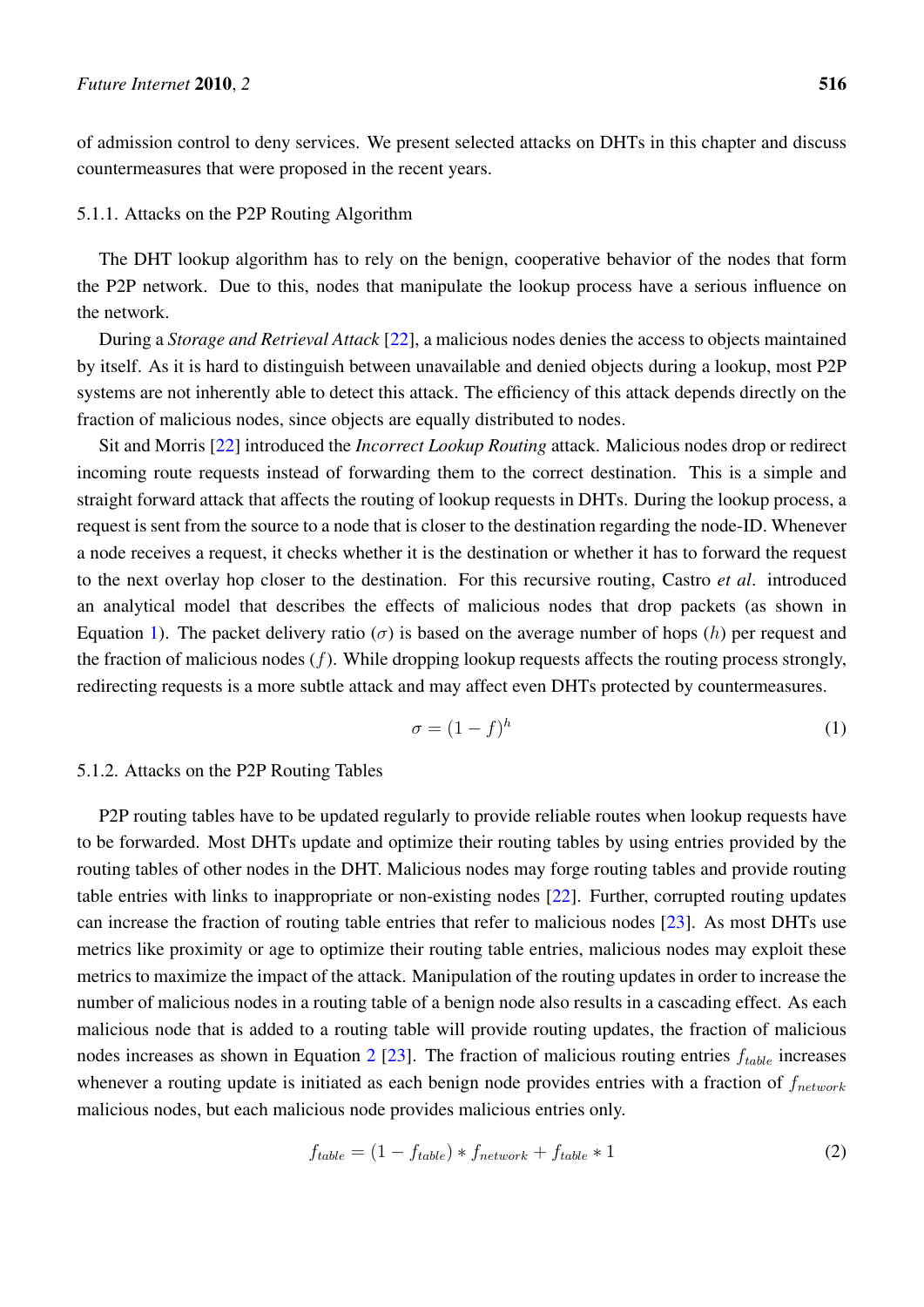of admission control to deny services. We present selected attacks on DHTs in this chapter and discuss countermeasures that were proposed in the recent years.

## 5.1.1. Attacks on the P2P Routing Algorithm

The DHT lookup algorithm has to rely on the benign, cooperative behavior of the nodes that form the P2P network. Due to this, nodes that manipulate the lookup process have a serious influence on the network.

During a *Storage and Retrieval Attack* [\[22](#page-25-9)], a malicious nodes denies the access to objects maintained by itself. As it is hard to distinguish between unavailable and denied objects during a lookup, most P2P systems are not inherently able to detect this attack. The efficiency of this attack depends directly on the fraction of malicious nodes, since objects are equally distributed to nodes.

Sit and Morris [\[22](#page-25-9)] introduced the *Incorrect Lookup Routing* attack. Malicious nodes drop or redirect incoming route requests instead of forwarding them to the correct destination. This is a simple and straight forward attack that affects the routing of lookup requests in DHTs. During the lookup process, a request is sent from the source to a node that is closer to the destination regarding the node-ID. Whenever a node receives a request, it checks whether it is the destination or whether it has to forward the request to the next overlay hop closer to the destination. For this recursive routing, Castro *et al*. introduced an analytical model that describes the effects of malicious nodes that drop packets (as shown in Equation [1](#page-11-0)). The packet delivery ratio (*σ*) is based on the average number of hops (*h*) per request and the fraction of malicious nodes (*f*). While dropping lookup requests affects the routing process strongly, redirecting requests is a more subtle attack and may affect even DHTs protected by countermeasures.

<span id="page-11-0"></span>
$$
\sigma = (1 - f)^h \tag{1}
$$

#### 5.1.2. Attacks on the P2P Routing Tables

P2P routing tables have to be updated regularly to provide reliable routes when lookup requests have to be forwarded. Most DHTs update and optimize their routing tables by using entries provided by the routing tables of other nodes in the DHT. Malicious nodes may forge routing tables and provide routing table entries with links to inappropriate or non-existing nodes [[22\]](#page-25-9). Further, corrupted routing updates can increase the fraction of routing table entries that refer to malicious nodes [[23\]](#page-25-10). As most DHTs use metrics like proximity or age to optimize their routing table entries, malicious nodes may exploit these metrics to maximize the impact of the attack. Manipulation of the routing updates in order to increase the number of malicious nodes in a routing table of a benign node also results in a cascading effect. As each malicious node that is added to a routing table will provide routing updates, the fraction of malicious nodes increases as shown in Equation [2](#page-11-1) [[23\]](#page-25-10). The fraction of malicious routing entries *ftable* increases whenever a routing update is initiated as each benign node provides entries with a fraction of *fnetwork* malicious nodes, but each malicious node provides malicious entries only.

<span id="page-11-1"></span>
$$
f_{table} = (1 - f_{table}) * f_{network} + f_{table} * 1
$$
\n(2)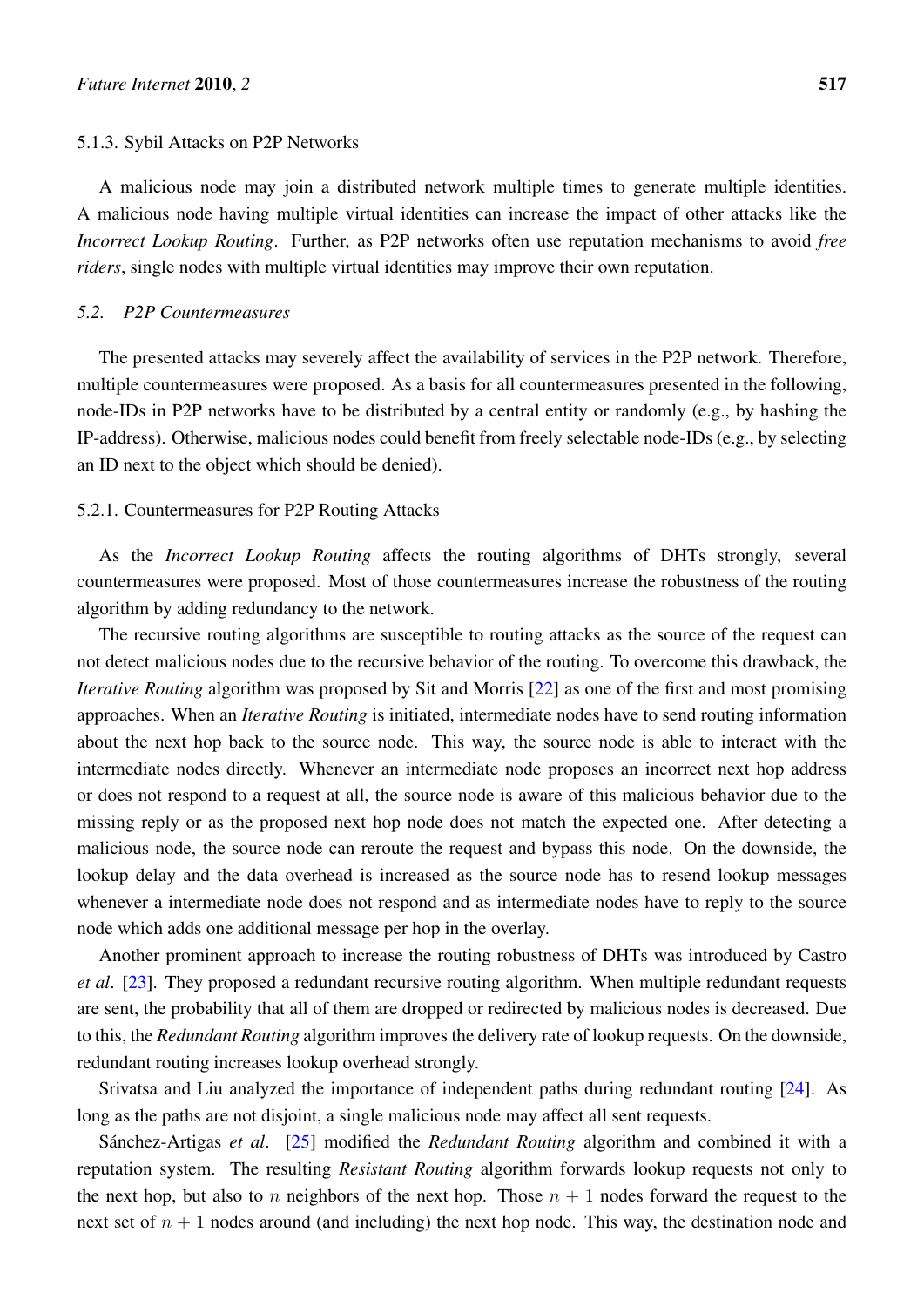#### 5.1.3. Sybil Attacks on P2P Networks

A malicious node may join a distributed network multiple times to generate multiple identities. A malicious node having multiple virtual identities can increase the impact of other attacks like the *Incorrect Lookup Routing*. Further, as P2P networks often use reputation mechanisms to avoid *free riders*, single nodes with multiple virtual identities may improve their own reputation.

## *5.2. P2P Countermeasures*

The presented attacks may severely affect the availability of services in the P2P network. Therefore, multiple countermeasures were proposed. As a basis for all countermeasures presented in the following, node-IDs in P2P networks have to be distributed by a central entity or randomly (e.g., by hashing the IP-address). Otherwise, malicious nodes could benefit from freely selectable node-IDs (e.g., by selecting an ID next to the object which should be denied).

## 5.2.1. Countermeasures for P2P Routing Attacks

As the *Incorrect Lookup Routing* affects the routing algorithms of DHTs strongly, several countermeasures were proposed. Most of those countermeasures increase the robustness of the routing algorithm by adding redundancy to the network.

The recursive routing algorithms are susceptible to routing attacks as the source of the request can not detect malicious nodes due to the recursive behavior of the routing. To overcome this drawback, the *Iterative Routing* algorithm was proposed by Sit and Morris [[22\]](#page-25-9) as one of the first and most promising approaches. When an *Iterative Routing* is initiated, intermediate nodes have to send routing information about the next hop back to the source node. This way, the source node is able to interact with the intermediate nodes directly. Whenever an intermediate node proposes an incorrect next hop address or does not respond to a request at all, the source node is aware of this malicious behavior due to the missing reply or as the proposed next hop node does not match the expected one. After detecting a malicious node, the source node can reroute the request and bypass this node. On the downside, the lookup delay and the data overhead is increased as the source node has to resend lookup messages whenever a intermediate node does not respond and as intermediate nodes have to reply to the source node which adds one additional message per hop in the overlay.

Another prominent approach to increase the routing robustness of DHTs was introduced by Castro *et al*. [[23\]](#page-25-10). They proposed a redundant recursive routing algorithm. When multiple redundant requests are sent, the probability that all of them are dropped or redirected by malicious nodes is decreased. Due to this, the *Redundant Routing* algorithm improves the delivery rate of lookup requests. On the downside, redundant routing increases lookup overhead strongly.

Srivatsa and Liu analyzed the importance of independent paths during redundant routing [[24](#page-25-11)]. As long as the paths are not disjoint, a single malicious node may affect all sent requests.

Sánchez-Artigas et al. [[25\]](#page-25-12) modified the *Redundant Routing* algorithm and combined it with a reputation system. The resulting *Resistant Routing* algorithm forwards lookup requests not only to the next hop, but also to *n* neighbors of the next hop. Those  $n + 1$  nodes forward the request to the next set of  $n + 1$  nodes around (and including) the next hop node. This way, the destination node and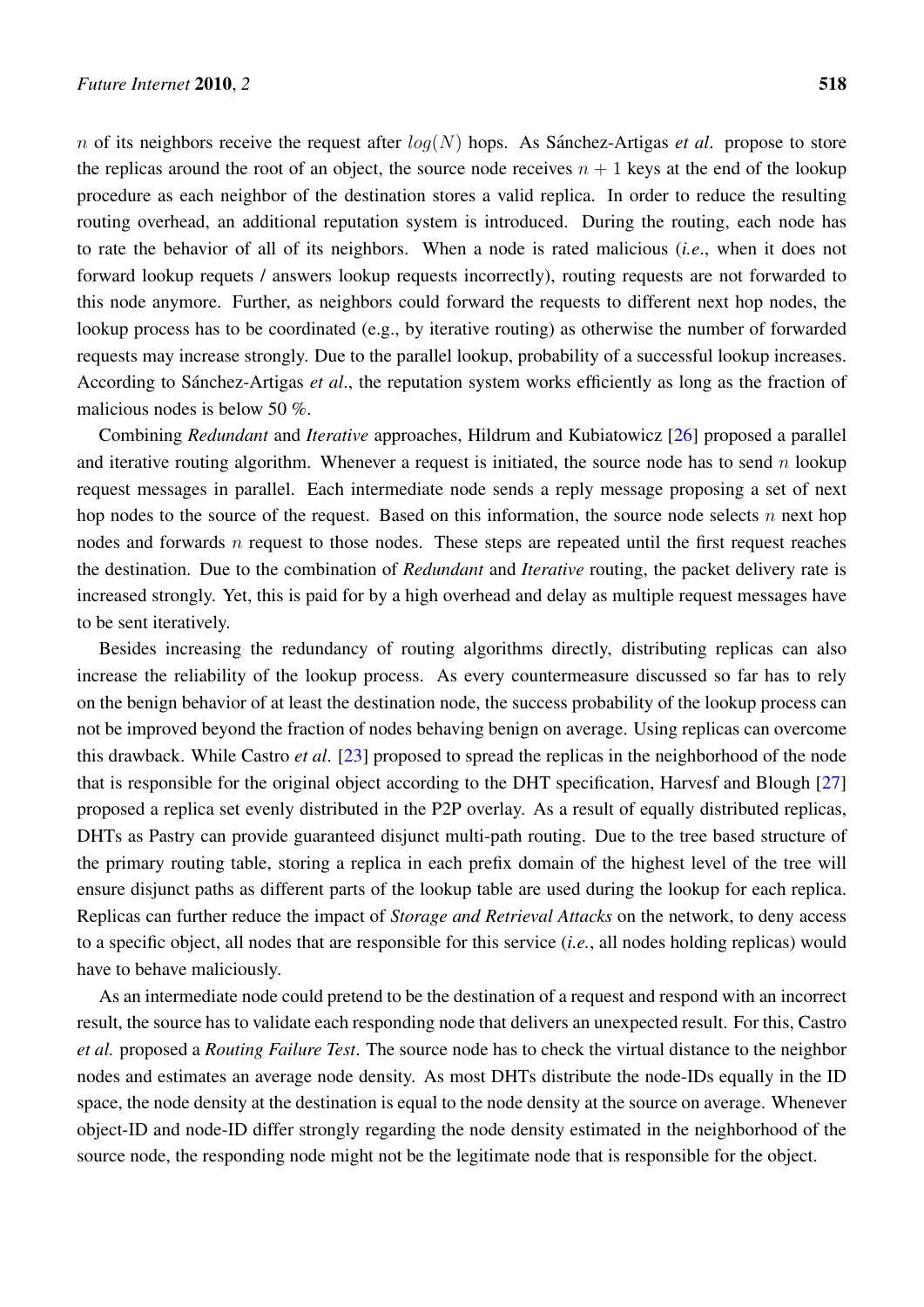*n* of its neighbors receive the request after  $log(N)$  hops. As Sanchez-Artigas *et al.* propose to store the replicas around the root of an object, the source node receives  $n + 1$  keys at the end of the lookup procedure as each neighbor of the destination stores a valid replica. In order to reduce the resulting routing overhead, an additional reputation system is introduced. During the routing, each node has to rate the behavior of all of its neighbors. When a node is rated malicious (*i.e*., when it does not forward lookup requets / answers lookup requests incorrectly), routing requests are not forwarded to this node anymore. Further, as neighbors could forward the requests to different next hop nodes, the lookup process has to be coordinated (e.g., by iterative routing) as otherwise the number of forwarded requests may increase strongly. Due to the parallel lookup, probability of a successful lookup increases. According to Sánchez-Artigas et al., the reputation system works efficiently as long as the fraction of malicious nodes is below 50 %.

Combining *Redundant* and *Iterative* approaches, Hildrum and Kubiatowicz [\[26](#page-25-13)] proposed a parallel and iterative routing algorithm. Whenever a request is initiated, the source node has to send *n* lookup request messages in parallel. Each intermediate node sends a reply message proposing a set of next hop nodes to the source of the request. Based on this information, the source node selects *n* next hop nodes and forwards *n* request to those nodes. These steps are repeated until the first request reaches the destination. Due to the combination of *Redundant* and *Iterative* routing, the packet delivery rate is increased strongly. Yet, this is paid for by a high overhead and delay as multiple request messages have to be sent iteratively.

Besides increasing the redundancy of routing algorithms directly, distributing replicas can also increase the reliability of the lookup process. As every countermeasure discussed so far has to rely on the benign behavior of at least the destination node, the success probability of the lookup process can not be improved beyond the fraction of nodes behaving benign on average. Using replicas can overcome this drawback. While Castro *et al*. [[23\]](#page-25-10) proposed to spread the replicas in the neighborhood of the node that is responsible for the original object according to the DHT specification, Harvesf and Blough [[27\]](#page-26-0) proposed a replica set evenly distributed in the P2P overlay. As a result of equally distributed replicas, DHTs as Pastry can provide guaranteed disjunct multi-path routing. Due to the tree based structure of the primary routing table, storing a replica in each prefix domain of the highest level of the tree will ensure disjunct paths as different parts of the lookup table are used during the lookup for each replica. Replicas can further reduce the impact of *Storage and Retrieval Attacks* on the network, to deny access to a specific object, all nodes that are responsible for this service (*i.e.*, all nodes holding replicas) would have to behave maliciously.

As an intermediate node could pretend to be the destination of a request and respond with an incorrect result, the source has to validate each responding node that delivers an unexpected result. For this, Castro *et al.* proposed a *Routing Failure Test*. The source node has to check the virtual distance to the neighbor nodes and estimates an average node density. As most DHTs distribute the node-IDs equally in the ID space, the node density at the destination is equal to the node density at the source on average. Whenever object-ID and node-ID differ strongly regarding the node density estimated in the neighborhood of the source node, the responding node might not be the legitimate node that is responsible for the object.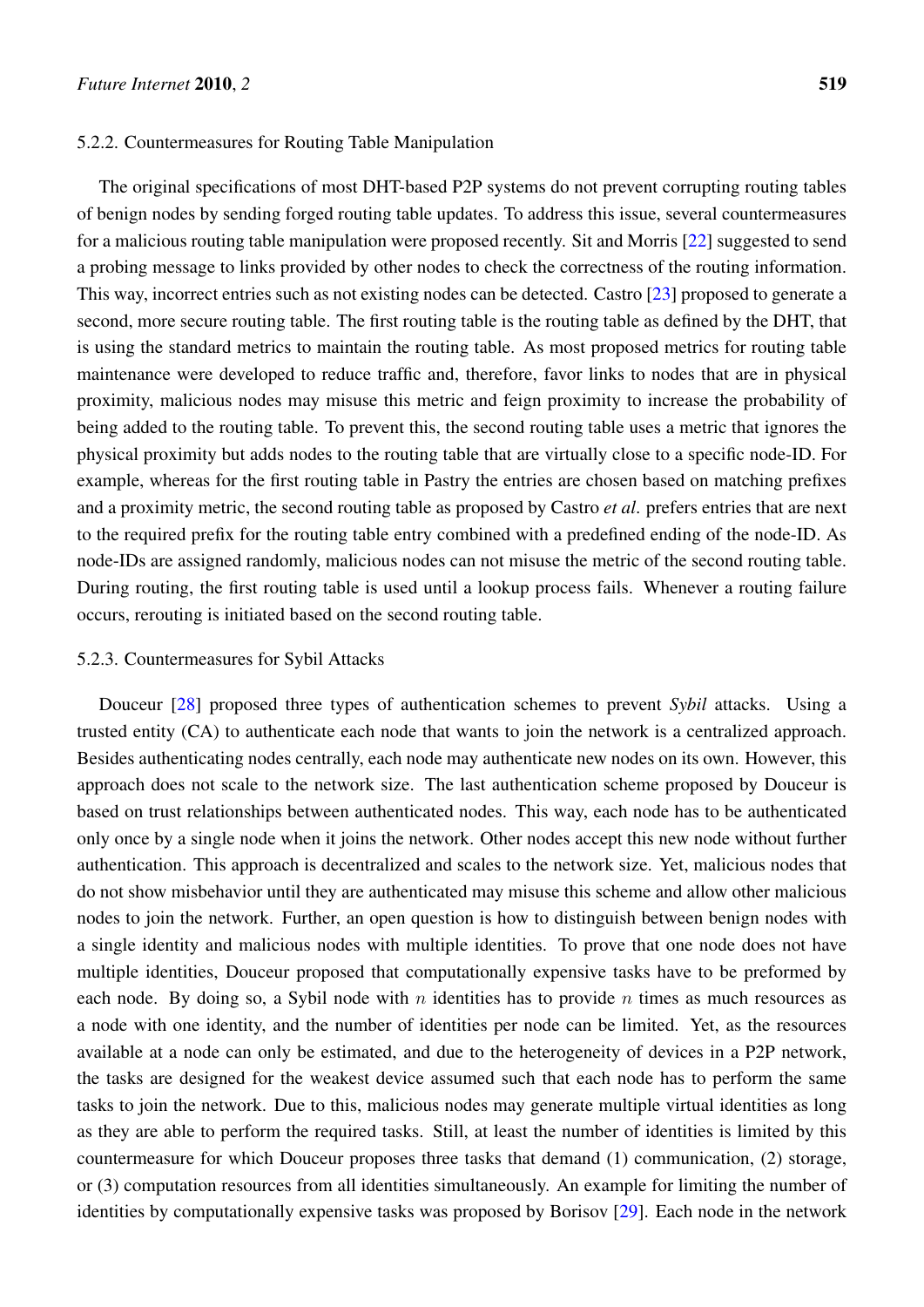#### 5.2.2. Countermeasures for Routing Table Manipulation

The original specifications of most DHT-based P2P systems do not prevent corrupting routing tables of benign nodes by sending forged routing table updates. To address this issue, several countermeasures for a malicious routing table manipulation were proposed recently. Sit and Morris [[22](#page-25-9)] suggested to send a probing message to links provided by other nodes to check the correctness of the routing information. This way, incorrect entries such as not existing nodes can be detected. Castro [\[23](#page-25-10)] proposed to generate a second, more secure routing table. The first routing table is the routing table as defined by the DHT, that is using the standard metrics to maintain the routing table. As most proposed metrics for routing table maintenance were developed to reduce traffic and, therefore, favor links to nodes that are in physical proximity, malicious nodes may misuse this metric and feign proximity to increase the probability of being added to the routing table. To prevent this, the second routing table uses a metric that ignores the physical proximity but adds nodes to the routing table that are virtually close to a specific node-ID. For example, whereas for the first routing table in Pastry the entries are chosen based on matching prefixes and a proximity metric, the second routing table as proposed by Castro *et al*. prefers entries that are next to the required prefix for the routing table entry combined with a predefined ending of the node-ID. As node-IDs are assigned randomly, malicious nodes can not misuse the metric of the second routing table. During routing, the first routing table is used until a lookup process fails. Whenever a routing failure occurs, rerouting is initiated based on the second routing table.

## 5.2.3. Countermeasures for Sybil Attacks

Douceur [\[28\]](#page-26-1) proposed three types of authentication schemes to prevent *Sybil* attacks. Using a trusted entity (CA) to authenticate each node that wants to join the network is a centralized approach. Besides authenticating nodes centrally, each node may authenticate new nodes on its own. However, this approach does not scale to the network size. The last authentication scheme proposed by Douceur is based on trust relationships between authenticated nodes. This way, each node has to be authenticated only once by a single node when it joins the network. Other nodes accept this new node without further authentication. This approach is decentralized and scales to the network size. Yet, malicious nodes that do not show misbehavior until they are authenticated may misuse this scheme and allow other malicious nodes to join the network. Further, an open question is how to distinguish between benign nodes with a single identity and malicious nodes with multiple identities. To prove that one node does not have multiple identities, Douceur proposed that computationally expensive tasks have to be preformed by each node. By doing so, a Sybil node with *n* identities has to provide *n* times as much resources as a node with one identity, and the number of identities per node can be limited. Yet, as the resources available at a node can only be estimated, and due to the heterogeneity of devices in a P2P network, the tasks are designed for the weakest device assumed such that each node has to perform the same tasks to join the network. Due to this, malicious nodes may generate multiple virtual identities as long as they are able to perform the required tasks. Still, at least the number of identities is limited by this countermeasure for which Douceur proposes three tasks that demand (1) communication, (2) storage, or (3) computation resources from all identities simultaneously. An example for limiting the number of identities by computationally expensive tasks was proposed by Borisov [\[29](#page-26-2)]. Each node in the network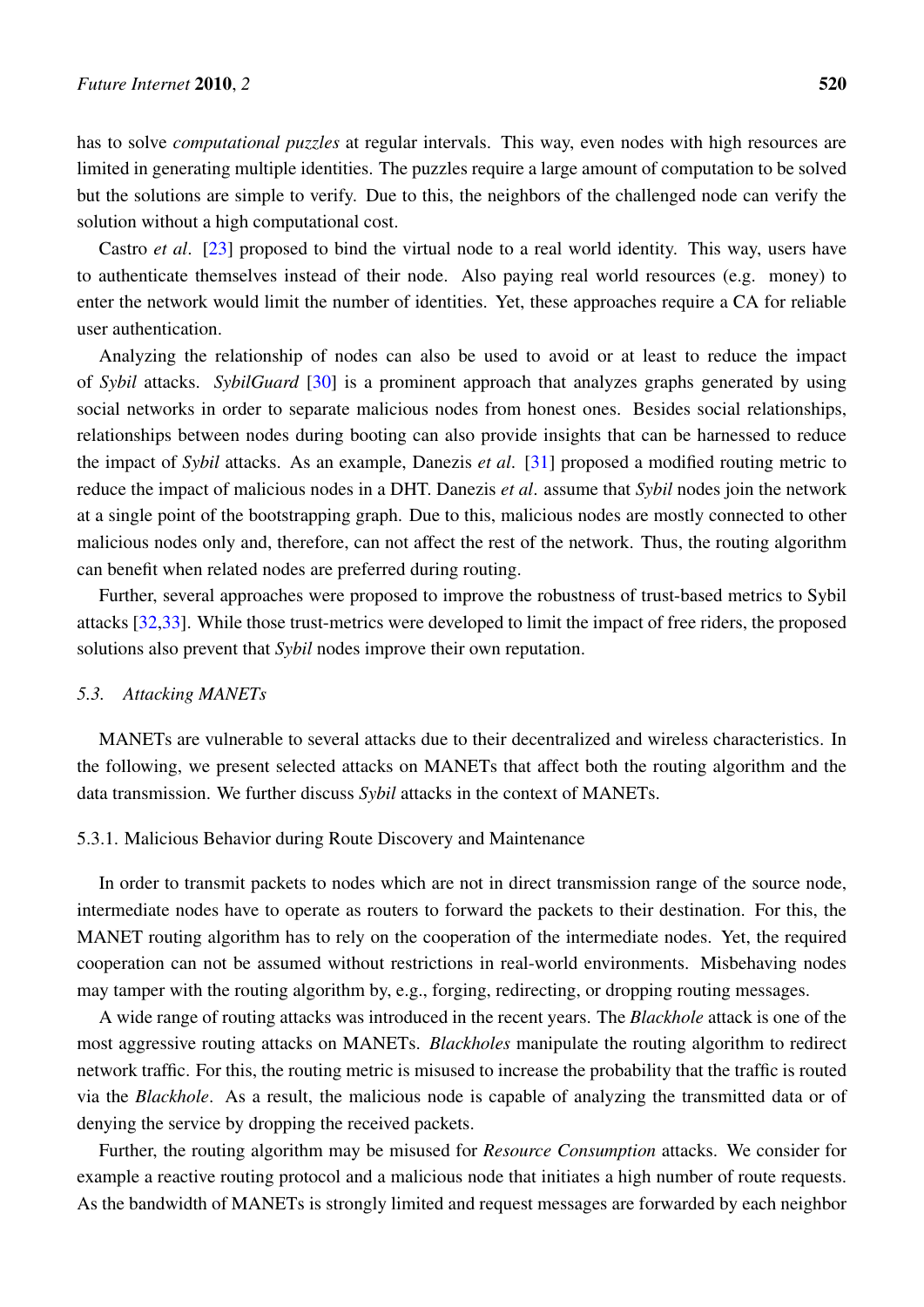has to solve *computational puzzles* at regular intervals. This way, even nodes with high resources are limited in generating multiple identities. The puzzles require a large amount of computation to be solved but the solutions are simple to verify. Due to this, the neighbors of the challenged node can verify the solution without a high computational cost.

Castro *et al*. [[23\]](#page-25-10) proposed to bind the virtual node to a real world identity. This way, users have to authenticate themselves instead of their node. Also paying real world resources (e.g. money) to enter the network would limit the number of identities. Yet, these approaches require a CA for reliable user authentication.

Analyzing the relationship of nodes can also be used to avoid or at least to reduce the impact of *Sybil* attacks. *SybilGuard* [\[30](#page-26-3)] is a prominent approach that analyzes graphs generated by using social networks in order to separate malicious nodes from honest ones. Besides social relationships, relationships between nodes during booting can also provide insights that can be harnessed to reduce the impact of *Sybil* attacks. As an example, Danezis *et al*. [[31\]](#page-26-4) proposed a modified routing metric to reduce the impact of malicious nodes in a DHT. Danezis *et al*. assume that *Sybil* nodes join the network at a single point of the bootstrapping graph. Due to this, malicious nodes are mostly connected to other malicious nodes only and, therefore, can not affect the rest of the network. Thus, the routing algorithm can benefit when related nodes are preferred during routing.

Further, several approaches were proposed to improve the robustness of trust-based metrics to Sybil attacks [[32](#page-26-5)[,33](#page-26-6)]. While those trust-metrics were developed to limit the impact of free riders, the proposed solutions also prevent that *Sybil* nodes improve their own reputation.

## *5.3. Attacking MANETs*

MANETs are vulnerable to several attacks due to their decentralized and wireless characteristics. In the following, we present selected attacks on MANETs that affect both the routing algorithm and the data transmission. We further discuss *Sybil* attacks in the context of MANETs.

#### 5.3.1. Malicious Behavior during Route Discovery and Maintenance

In order to transmit packets to nodes which are not in direct transmission range of the source node, intermediate nodes have to operate as routers to forward the packets to their destination. For this, the MANET routing algorithm has to rely on the cooperation of the intermediate nodes. Yet, the required cooperation can not be assumed without restrictions in real-world environments. Misbehaving nodes may tamper with the routing algorithm by, e.g., forging, redirecting, or dropping routing messages.

A wide range of routing attacks was introduced in the recent years. The *Blackhole* attack is one of the most aggressive routing attacks on MANETs. *Blackholes* manipulate the routing algorithm to redirect network traffic. For this, the routing metric is misused to increase the probability that the traffic is routed via the *Blackhole*. As a result, the malicious node is capable of analyzing the transmitted data or of denying the service by dropping the received packets.

Further, the routing algorithm may be misused for *Resource Consumption* attacks. We consider for example a reactive routing protocol and a malicious node that initiates a high number of route requests. As the bandwidth of MANETs is strongly limited and request messages are forwarded by each neighbor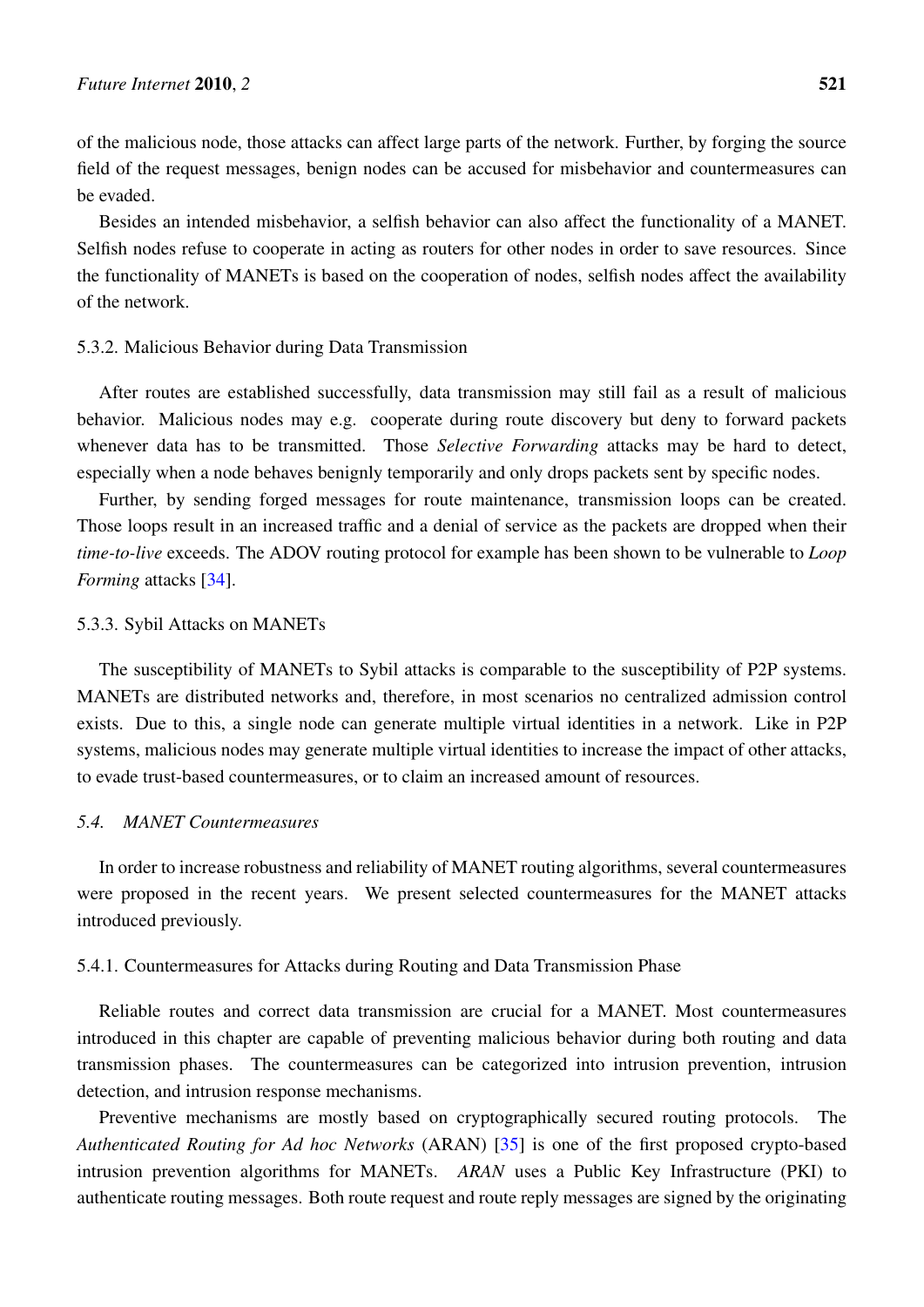of the malicious node, those attacks can affect large parts of the network. Further, by forging the source field of the request messages, benign nodes can be accused for misbehavior and countermeasures can be evaded.

Besides an intended misbehavior, a selfish behavior can also affect the functionality of a MANET. Selfish nodes refuse to cooperate in acting as routers for other nodes in order to save resources. Since the functionality of MANETs is based on the cooperation of nodes, selfish nodes affect the availability of the network.

## 5.3.2. Malicious Behavior during Data Transmission

After routes are established successfully, data transmission may still fail as a result of malicious behavior. Malicious nodes may e.g. cooperate during route discovery but deny to forward packets whenever data has to be transmitted. Those *Selective Forwarding* attacks may be hard to detect, especially when a node behaves benignly temporarily and only drops packets sent by specific nodes.

Further, by sending forged messages for route maintenance, transmission loops can be created. Those loops result in an increased traffic and a denial of service as the packets are dropped when their *time-to-live* exceeds. The ADOV routing protocol for example has been shown to be vulnerable to *Loop Forming* attacks [\[34](#page-26-7)].

## 5.3.3. Sybil Attacks on MANETs

The susceptibility of MANETs to Sybil attacks is comparable to the susceptibility of P2P systems. MANETs are distributed networks and, therefore, in most scenarios no centralized admission control exists. Due to this, a single node can generate multiple virtual identities in a network. Like in P2P systems, malicious nodes may generate multiple virtual identities to increase the impact of other attacks, to evade trust-based countermeasures, or to claim an increased amount of resources.

## *5.4. MANET Countermeasures*

In order to increase robustness and reliability of MANET routing algorithms, several countermeasures were proposed in the recent years. We present selected countermeasures for the MANET attacks introduced previously.

#### 5.4.1. Countermeasures for Attacks during Routing and Data Transmission Phase

Reliable routes and correct data transmission are crucial for a MANET. Most countermeasures introduced in this chapter are capable of preventing malicious behavior during both routing and data transmission phases. The countermeasures can be categorized into intrusion prevention, intrusion detection, and intrusion response mechanisms.

Preventive mechanisms are mostly based on cryptographically secured routing protocols. The *Authenticated Routing for Ad hoc Networks* (ARAN) [\[35](#page-26-8)] is one of the first proposed crypto-based intrusion prevention algorithms for MANETs. *ARAN* uses a Public Key Infrastructure (PKI) to authenticate routing messages. Both route request and route reply messages are signed by the originating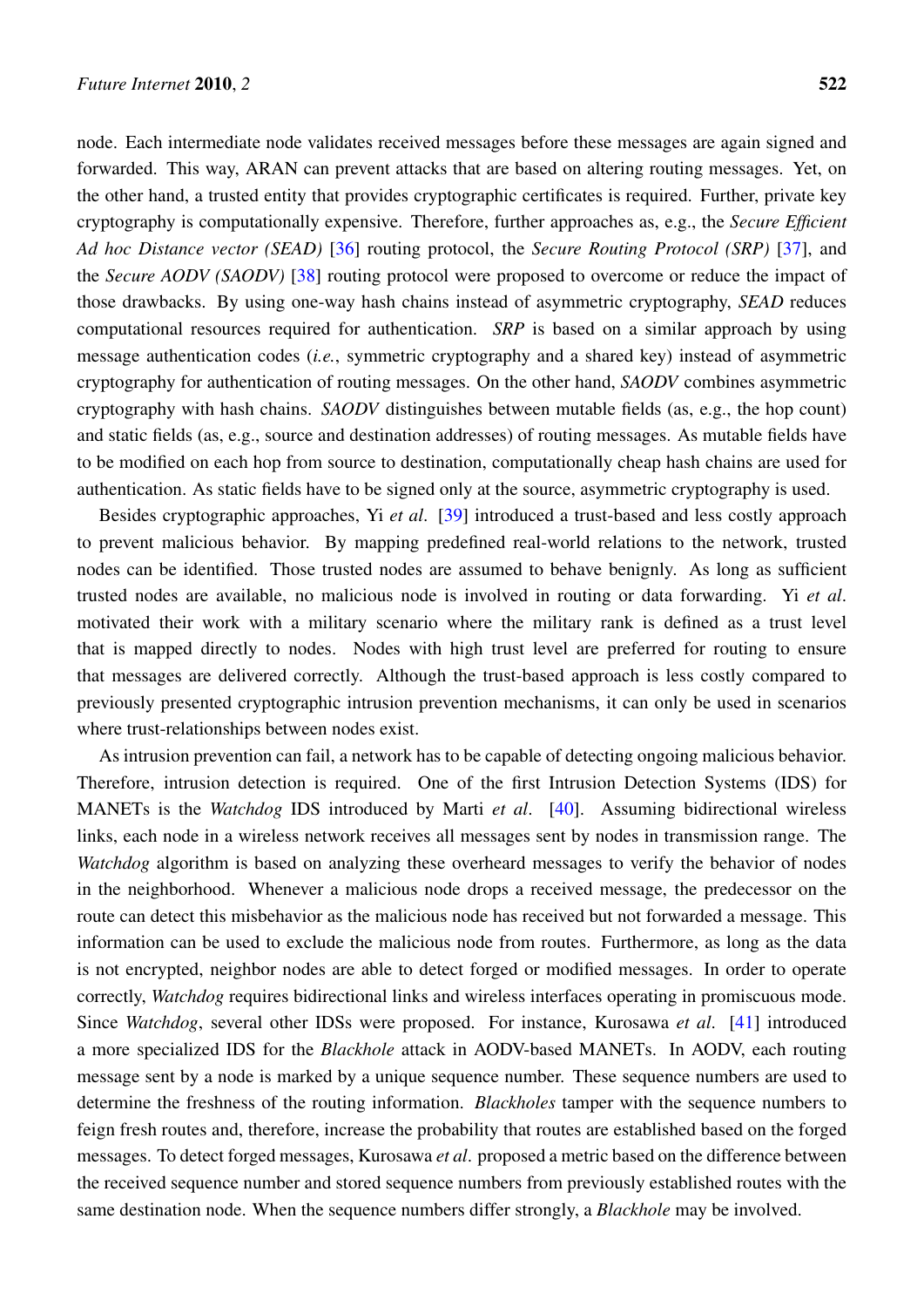node. Each intermediate node validates received messages before these messages are again signed and forwarded. This way, ARAN can prevent attacks that are based on altering routing messages. Yet, on the other hand, a trusted entity that provides cryptographic certificates is required. Further, private key cryptography is computationally expensive. Therefore, further approaches as, e.g., the *Secure Efficient Ad hoc Distance vector (SEAD)* [\[36](#page-26-9)] routing protocol, the *Secure Routing Protocol (SRP)* [[37\]](#page-26-10), and the *Secure AODV (SAODV)* [\[38](#page-26-11)] routing protocol were proposed to overcome or reduce the impact of those drawbacks. By using one-way hash chains instead of asymmetric cryptography, *SEAD* reduces computational resources required for authentication. *SRP* is based on a similar approach by using message authentication codes (*i.e.*, symmetric cryptography and a shared key) instead of asymmetric cryptography for authentication of routing messages. On the other hand, *SAODV* combines asymmetric cryptography with hash chains. *SAODV* distinguishes between mutable fields (as, e.g., the hop count) and static fields (as, e.g., source and destination addresses) of routing messages. As mutable fields have to be modified on each hop from source to destination, computationally cheap hash chains are used for authentication. As static fields have to be signed only at the source, asymmetric cryptography is used.

Besides cryptographic approaches, Yi *et al*. [\[39](#page-26-12)] introduced a trust-based and less costly approach to prevent malicious behavior. By mapping predefined real-world relations to the network, trusted nodes can be identified. Those trusted nodes are assumed to behave benignly. As long as sufficient trusted nodes are available, no malicious node is involved in routing or data forwarding. Yi *et al*. motivated their work with a military scenario where the military rank is defined as a trust level that is mapped directly to nodes. Nodes with high trust level are preferred for routing to ensure that messages are delivered correctly. Although the trust-based approach is less costly compared to previously presented cryptographic intrusion prevention mechanisms, it can only be used in scenarios where trust-relationships between nodes exist.

As intrusion prevention can fail, a network has to be capable of detecting ongoing malicious behavior. Therefore, intrusion detection is required. One of the first Intrusion Detection Systems (IDS) for MANETs is the *Watchdog* IDS introduced by Marti *et al*. [[40\]](#page-26-13). Assuming bidirectional wireless links, each node in a wireless network receives all messages sent by nodes in transmission range. The *Watchdog* algorithm is based on analyzing these overheard messages to verify the behavior of nodes in the neighborhood. Whenever a malicious node drops a received message, the predecessor on the route can detect this misbehavior as the malicious node has received but not forwarded a message. This information can be used to exclude the malicious node from routes. Furthermore, as long as the data is not encrypted, neighbor nodes are able to detect forged or modified messages. In order to operate correctly, *Watchdog* requires bidirectional links and wireless interfaces operating in promiscuous mode. Since *Watchdog*, several other IDSs were proposed. For instance, Kurosawa *et al*. [[41\]](#page-26-14) introduced a more specialized IDS for the *Blackhole* attack in AODV-based MANETs. In AODV, each routing message sent by a node is marked by a unique sequence number. These sequence numbers are used to determine the freshness of the routing information. *Blackholes* tamper with the sequence numbers to feign fresh routes and, therefore, increase the probability that routes are established based on the forged messages. To detect forged messages, Kurosawa *et al*. proposed a metric based on the difference between the received sequence number and stored sequence numbers from previously established routes with the same destination node. When the sequence numbers differ strongly, a *Blackhole* may be involved.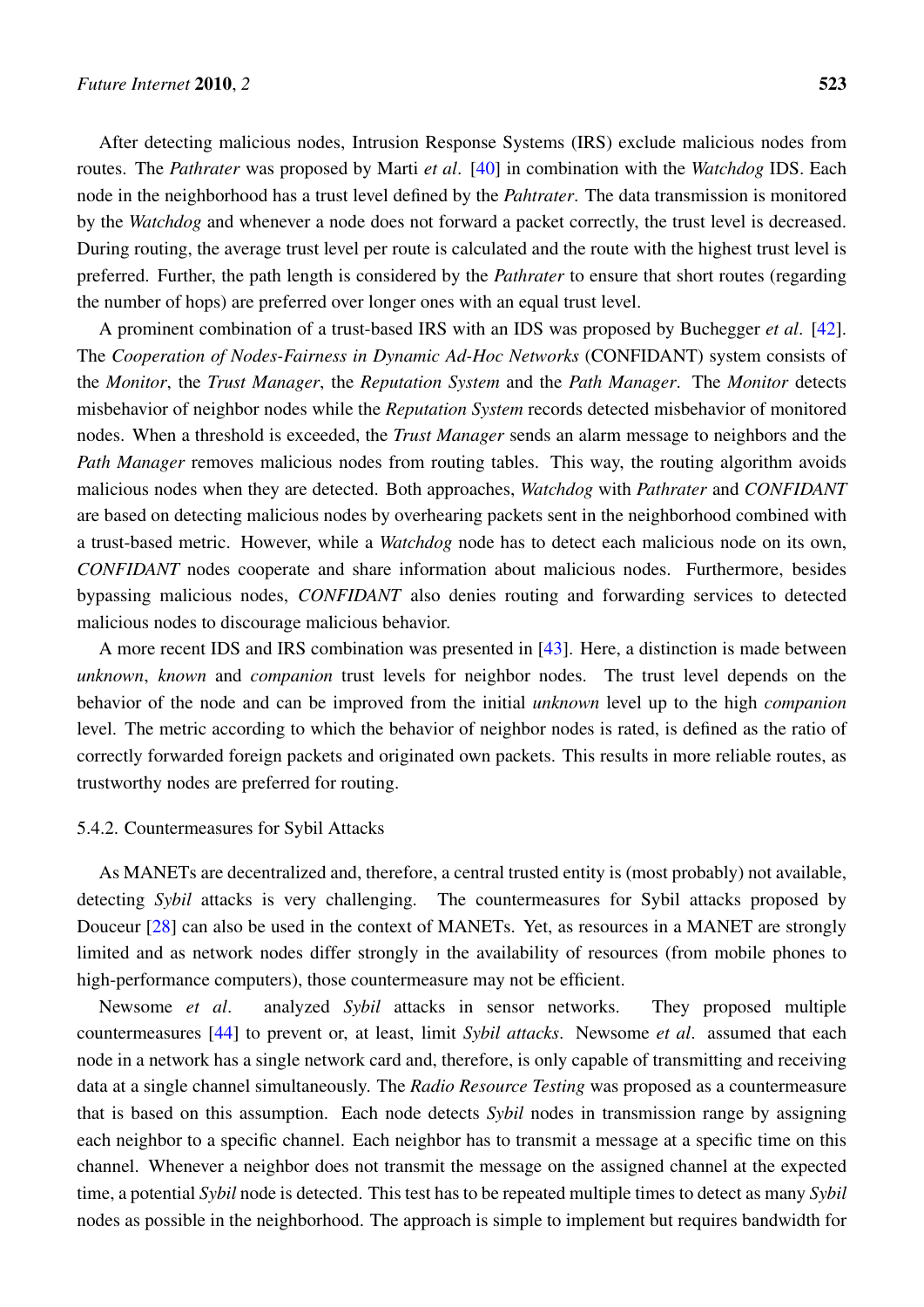After detecting malicious nodes, Intrusion Response Systems (IRS) exclude malicious nodes from routes. The *Pathrater* was proposed by Marti *et al*. [[40\]](#page-26-13) in combination with the *Watchdog* IDS. Each node in the neighborhood has a trust level defined by the *Pahtrater*. The data transmission is monitored by the *Watchdog* and whenever a node does not forward a packet correctly, the trust level is decreased. During routing, the average trust level per route is calculated and the route with the highest trust level is preferred. Further, the path length is considered by the *Pathrater* to ensure that short routes (regarding the number of hops) are preferred over longer ones with an equal trust level.

A prominent combination of a trust-based IRS with an IDS was proposed by Buchegger *et al*. [[42\]](#page-27-0). The *Cooperation of Nodes-Fairness in Dynamic Ad-Hoc Networks* (CONFIDANT) system consists of the *Monitor*, the *Trust Manager*, the *Reputation System* and the *Path Manager*. The *Monitor* detects misbehavior of neighbor nodes while the *Reputation System* records detected misbehavior of monitored nodes. When a threshold is exceeded, the *Trust Manager* sends an alarm message to neighbors and the *Path Manager* removes malicious nodes from routing tables. This way, the routing algorithm avoids malicious nodes when they are detected. Both approaches, *Watchdog* with *Pathrater* and *CONFIDANT* are based on detecting malicious nodes by overhearing packets sent in the neighborhood combined with a trust-based metric. However, while a *Watchdog* node has to detect each malicious node on its own, *CONFIDANT* nodes cooperate and share information about malicious nodes. Furthermore, besides bypassing malicious nodes, *CONFIDANT* also denies routing and forwarding services to detected malicious nodes to discourage malicious behavior.

A more recent IDS and IRS combination was presented in [[43\]](#page-27-1). Here, a distinction is made between *unknown*, *known* and *companion* trust levels for neighbor nodes. The trust level depends on the behavior of the node and can be improved from the initial *unknown* level up to the high *companion* level. The metric according to which the behavior of neighbor nodes is rated, is defined as the ratio of correctly forwarded foreign packets and originated own packets. This results in more reliable routes, as trustworthy nodes are preferred for routing.

## 5.4.2. Countermeasures for Sybil Attacks

As MANETs are decentralized and, therefore, a central trusted entity is (most probably) not available, detecting *Sybil* attacks is very challenging. The countermeasures for Sybil attacks proposed by Douceur [\[28](#page-26-1)] can also be used in the context of MANETs. Yet, as resources in a MANET are strongly limited and as network nodes differ strongly in the availability of resources (from mobile phones to high-performance computers), those countermeasure may not be efficient.

Newsome *et al*. analyzed *Sybil* attacks in sensor networks. They proposed multiple countermeasures [\[44](#page-27-2)] to prevent or, at least, limit *Sybil attacks*. Newsome *et al*. assumed that each node in a network has a single network card and, therefore, is only capable of transmitting and receiving data at a single channel simultaneously. The *Radio Resource Testing* was proposed as a countermeasure that is based on this assumption. Each node detects *Sybil* nodes in transmission range by assigning each neighbor to a specific channel. Each neighbor has to transmit a message at a specific time on this channel. Whenever a neighbor does not transmit the message on the assigned channel at the expected time, a potential *Sybil* node is detected. This test has to be repeated multiple times to detect as many *Sybil* nodes as possible in the neighborhood. The approach is simple to implement but requires bandwidth for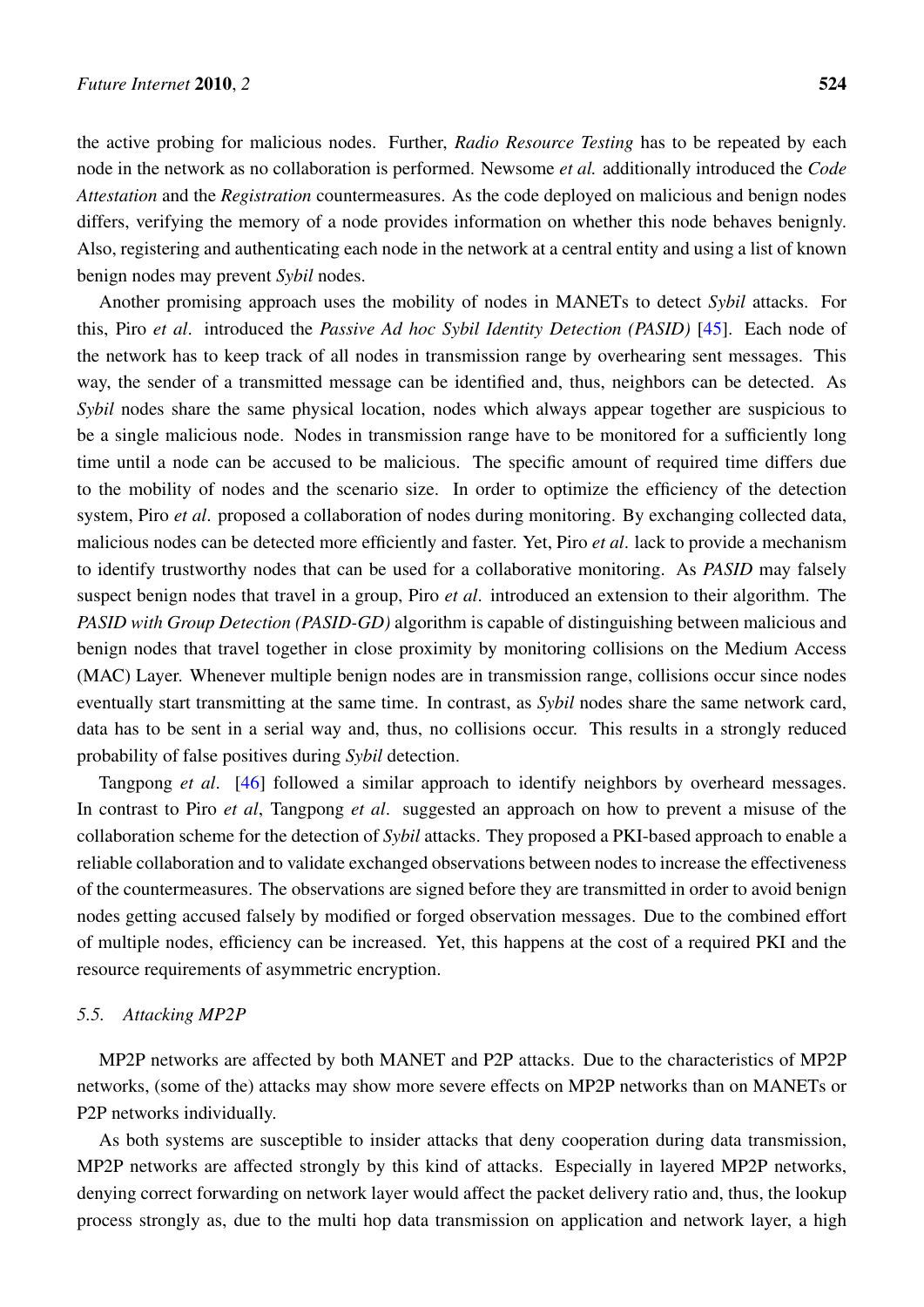the active probing for malicious nodes. Further, *Radio Resource Testing* has to be repeated by each node in the network as no collaboration is performed. Newsome *et al.* additionally introduced the *Code Attestation* and the *Registration* countermeasures. As the code deployed on malicious and benign nodes differs, verifying the memory of a node provides information on whether this node behaves benignly. Also, registering and authenticating each node in the network at a central entity and using a list of known benign nodes may prevent *Sybil* nodes.

Another promising approach uses the mobility of nodes in MANETs to detect *Sybil* attacks. For this, Piro *et al*. introduced the *Passive Ad hoc Sybil Identity Detection (PASID)* [\[45](#page-27-3)]. Each node of the network has to keep track of all nodes in transmission range by overhearing sent messages. This way, the sender of a transmitted message can be identified and, thus, neighbors can be detected. As *Sybil* nodes share the same physical location, nodes which always appear together are suspicious to be a single malicious node. Nodes in transmission range have to be monitored for a sufficiently long time until a node can be accused to be malicious. The specific amount of required time differs due to the mobility of nodes and the scenario size. In order to optimize the efficiency of the detection system, Piro *et al*. proposed a collaboration of nodes during monitoring. By exchanging collected data, malicious nodes can be detected more efficiently and faster. Yet, Piro *et al*. lack to provide a mechanism to identify trustworthy nodes that can be used for a collaborative monitoring. As *PASID* may falsely suspect benign nodes that travel in a group, Piro *et al*. introduced an extension to their algorithm. The *PASID with Group Detection (PASID-GD)* algorithm is capable of distinguishing between malicious and benign nodes that travel together in close proximity by monitoring collisions on the Medium Access (MAC) Layer. Whenever multiple benign nodes are in transmission range, collisions occur since nodes eventually start transmitting at the same time. In contrast, as *Sybil* nodes share the same network card, data has to be sent in a serial way and, thus, no collisions occur. This results in a strongly reduced probability of false positives during *Sybil* detection.

Tangpong *et al*. [\[46](#page-27-4)] followed a similar approach to identify neighbors by overheard messages. In contrast to Piro *et al*, Tangpong *et al*. suggested an approach on how to prevent a misuse of the collaboration scheme for the detection of *Sybil* attacks. They proposed a PKI-based approach to enable a reliable collaboration and to validate exchanged observations between nodes to increase the effectiveness of the countermeasures. The observations are signed before they are transmitted in order to avoid benign nodes getting accused falsely by modified or forged observation messages. Due to the combined effort of multiple nodes, efficiency can be increased. Yet, this happens at the cost of a required PKI and the resource requirements of asymmetric encryption.

## *5.5. Attacking MP2P*

MP2P networks are affected by both MANET and P2P attacks. Due to the characteristics of MP2P networks, (some of the) attacks may show more severe effects on MP2P networks than on MANETs or P2P networks individually.

As both systems are susceptible to insider attacks that deny cooperation during data transmission, MP2P networks are affected strongly by this kind of attacks. Especially in layered MP2P networks, denying correct forwarding on network layer would affect the packet delivery ratio and, thus, the lookup process strongly as, due to the multi hop data transmission on application and network layer, a high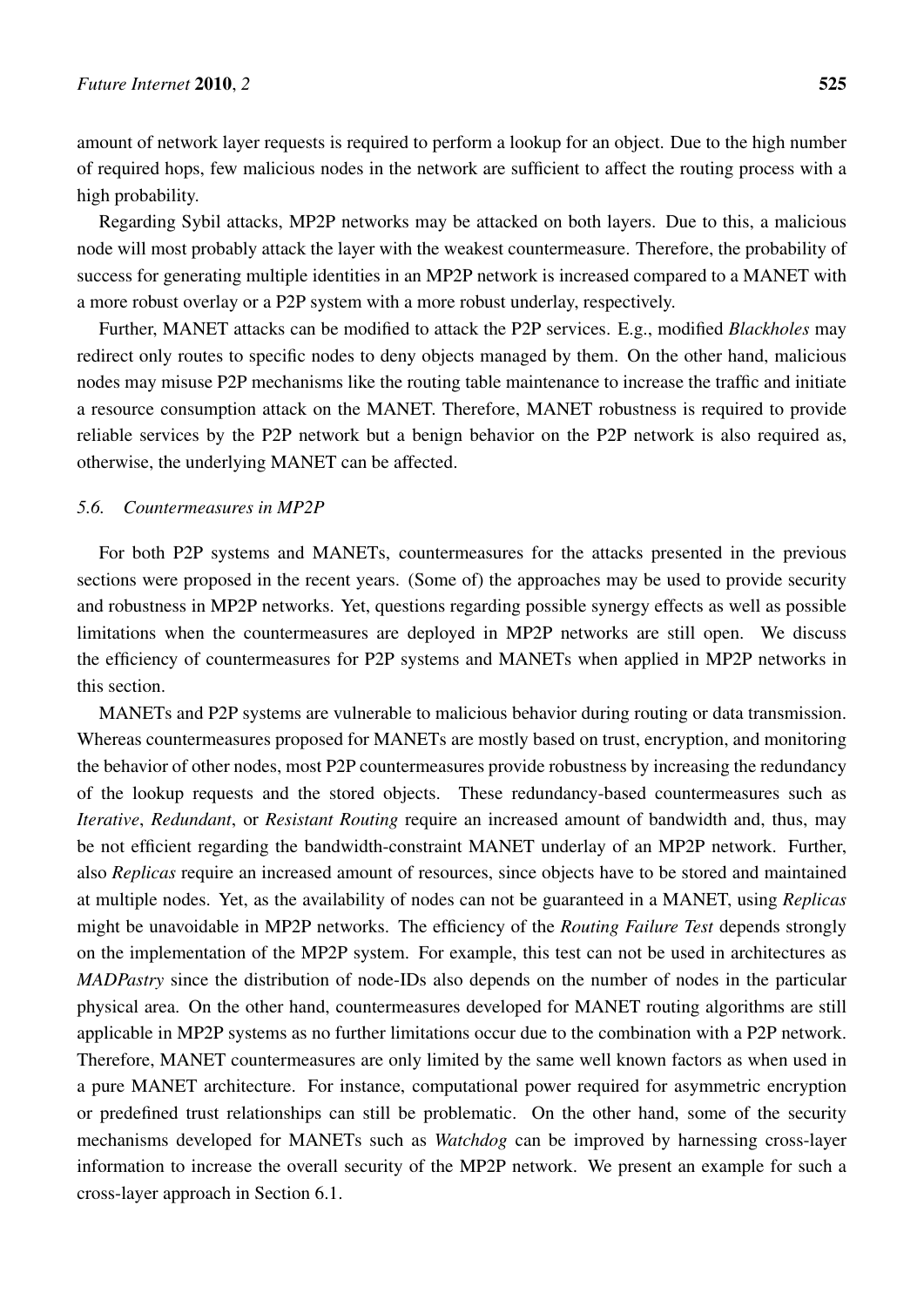amount of network layer requests is required to perform a lookup for an object. Due to the high number of required hops, few malicious nodes in the network are sufficient to affect the routing process with a high probability.

Regarding Sybil attacks, MP2P networks may be attacked on both layers. Due to this, a malicious node will most probably attack the layer with the weakest countermeasure. Therefore, the probability of success for generating multiple identities in an MP2P network is increased compared to a MANET with a more robust overlay or a P2P system with a more robust underlay, respectively.

Further, MANET attacks can be modified to attack the P2P services. E.g., modified *Blackholes* may redirect only routes to specific nodes to deny objects managed by them. On the other hand, malicious nodes may misuse P2P mechanisms like the routing table maintenance to increase the traffic and initiate a resource consumption attack on the MANET. Therefore, MANET robustness is required to provide reliable services by the P2P network but a benign behavior on the P2P network is also required as, otherwise, the underlying MANET can be affected.

## *5.6. Countermeasures in MP2P*

For both P2P systems and MANETs, countermeasures for the attacks presented in the previous sections were proposed in the recent years. (Some of) the approaches may be used to provide security and robustness in MP2P networks. Yet, questions regarding possible synergy effects as well as possible limitations when the countermeasures are deployed in MP2P networks are still open. We discuss the efficiency of countermeasures for P2P systems and MANETs when applied in MP2P networks in this section.

MANETs and P2P systems are vulnerable to malicious behavior during routing or data transmission. Whereas countermeasures proposed for MANETs are mostly based on trust, encryption, and monitoring the behavior of other nodes, most P2P countermeasures provide robustness by increasing the redundancy of the lookup requests and the stored objects. These redundancy-based countermeasures such as *Iterative*, *Redundant*, or *Resistant Routing* require an increased amount of bandwidth and, thus, may be not efficient regarding the bandwidth-constraint MANET underlay of an MP2P network. Further, also *Replicas* require an increased amount of resources, since objects have to be stored and maintained at multiple nodes. Yet, as the availability of nodes can not be guaranteed in a MANET, using *Replicas* might be unavoidable in MP2P networks. The efficiency of the *Routing Failure Test* depends strongly on the implementation of the MP2P system. For example, this test can not be used in architectures as *MADPastry* since the distribution of node-IDs also depends on the number of nodes in the particular physical area. On the other hand, countermeasures developed for MANET routing algorithms are still applicable in MP2P systems as no further limitations occur due to the combination with a P2P network. Therefore, MANET countermeasures are only limited by the same well known factors as when used in a pure MANET architecture. For instance, computational power required for asymmetric encryption or predefined trust relationships can still be problematic. On the other hand, some of the security mechanisms developed for MANETs such as *Watchdog* can be improved by harnessing cross-layer information to increase the overall security of the MP2P network. We present an example for such a cross-layer approach in Section 6.1.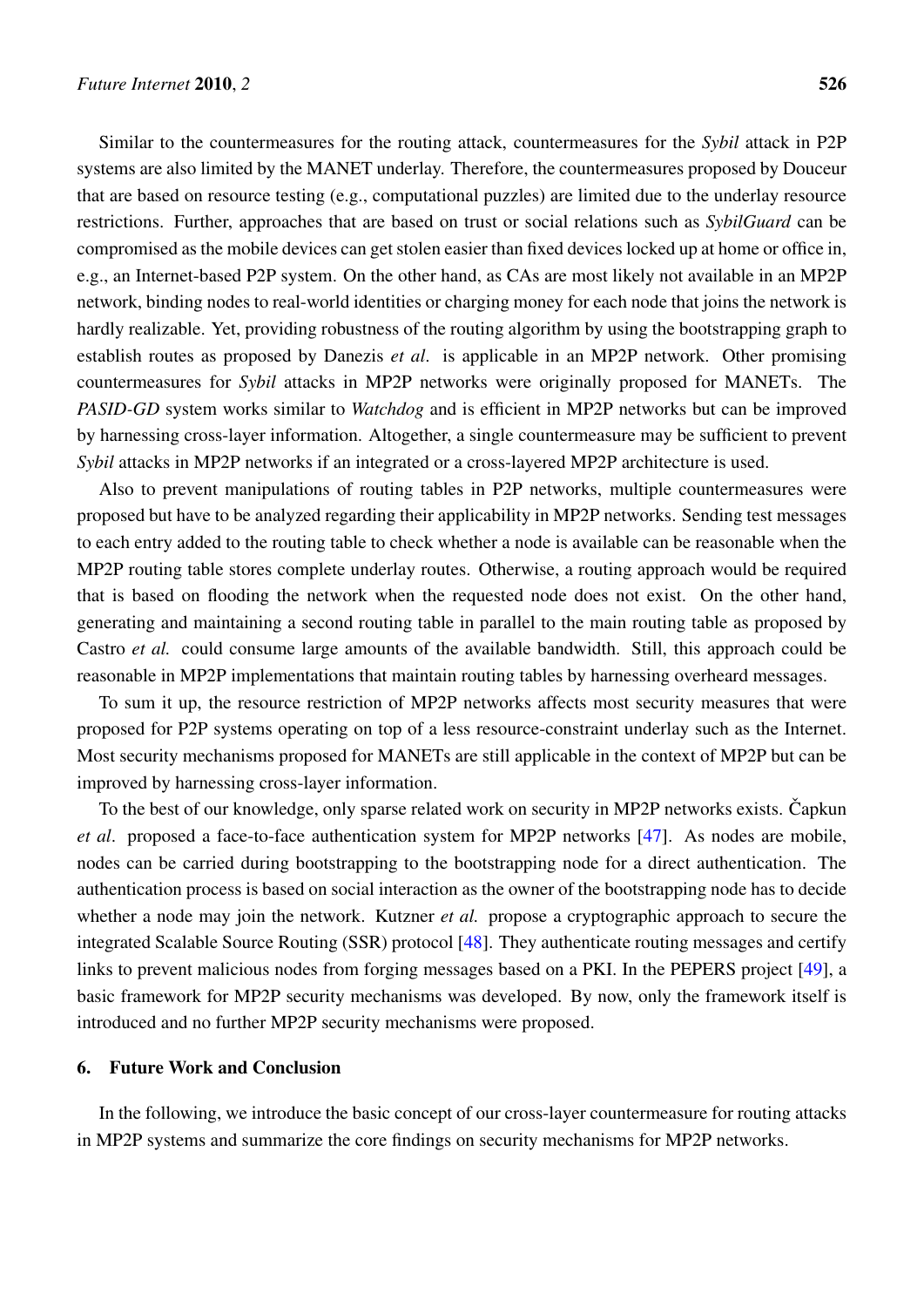Similar to the countermeasures for the routing attack, countermeasures for the *Sybil* attack in P2P systems are also limited by the MANET underlay. Therefore, the countermeasures proposed by Douceur that are based on resource testing (e.g., computational puzzles) are limited due to the underlay resource restrictions. Further, approaches that are based on trust or social relations such as *SybilGuard* can be compromised as the mobile devices can get stolen easier than fixed devices locked up at home or office in, e.g., an Internet-based P2P system. On the other hand, as CAs are most likely not available in an MP2P network, binding nodes to real-world identities or charging money for each node that joins the network is hardly realizable. Yet, providing robustness of the routing algorithm by using the bootstrapping graph to establish routes as proposed by Danezis *et al*. is applicable in an MP2P network. Other promising countermeasures for *Sybil* attacks in MP2P networks were originally proposed for MANETs. The *PASID-GD* system works similar to *Watchdog* and is efficient in MP2P networks but can be improved by harnessing cross-layer information. Altogether, a single countermeasure may be sufficient to prevent *Sybil* attacks in MP2P networks if an integrated or a cross-layered MP2P architecture is used.

Also to prevent manipulations of routing tables in P2P networks, multiple countermeasures were proposed but have to be analyzed regarding their applicability in MP2P networks. Sending test messages to each entry added to the routing table to check whether a node is available can be reasonable when the MP2P routing table stores complete underlay routes. Otherwise, a routing approach would be required that is based on flooding the network when the requested node does not exist. On the other hand, generating and maintaining a second routing table in parallel to the main routing table as proposed by Castro *et al.* could consume large amounts of the available bandwidth. Still, this approach could be reasonable in MP2P implementations that maintain routing tables by harnessing overheard messages.

To sum it up, the resource restriction of MP2P networks affects most security measures that were proposed for P2P systems operating on top of a less resource-constraint underlay such as the Internet. Most security mechanisms proposed for MANETs are still applicable in the context of MP2P but can be improved by harnessing cross-layer information.

To the best of our knowledge, only sparse related work on security in MP2P networks exists. Čapkun *et al*. proposed a face-to-face authentication system for MP2P networks [[47\]](#page-27-5). As nodes are mobile, nodes can be carried during bootstrapping to the bootstrapping node for a direct authentication. The authentication process is based on social interaction as the owner of the bootstrapping node has to decide whether a node may join the network. Kutzner *et al.* propose a cryptographic approach to secure the integrated Scalable Source Routing (SSR) protocol [\[48](#page-27-6)]. They authenticate routing messages and certify links to prevent malicious nodes from forging messages based on a PKI. In the PEPERS project [\[49](#page-27-7)], a basic framework for MP2P security mechanisms was developed. By now, only the framework itself is introduced and no further MP2P security mechanisms were proposed.

## 6. Future Work and Conclusion

In the following, we introduce the basic concept of our cross-layer countermeasure for routing attacks in MP2P systems and summarize the core findings on security mechanisms for MP2P networks.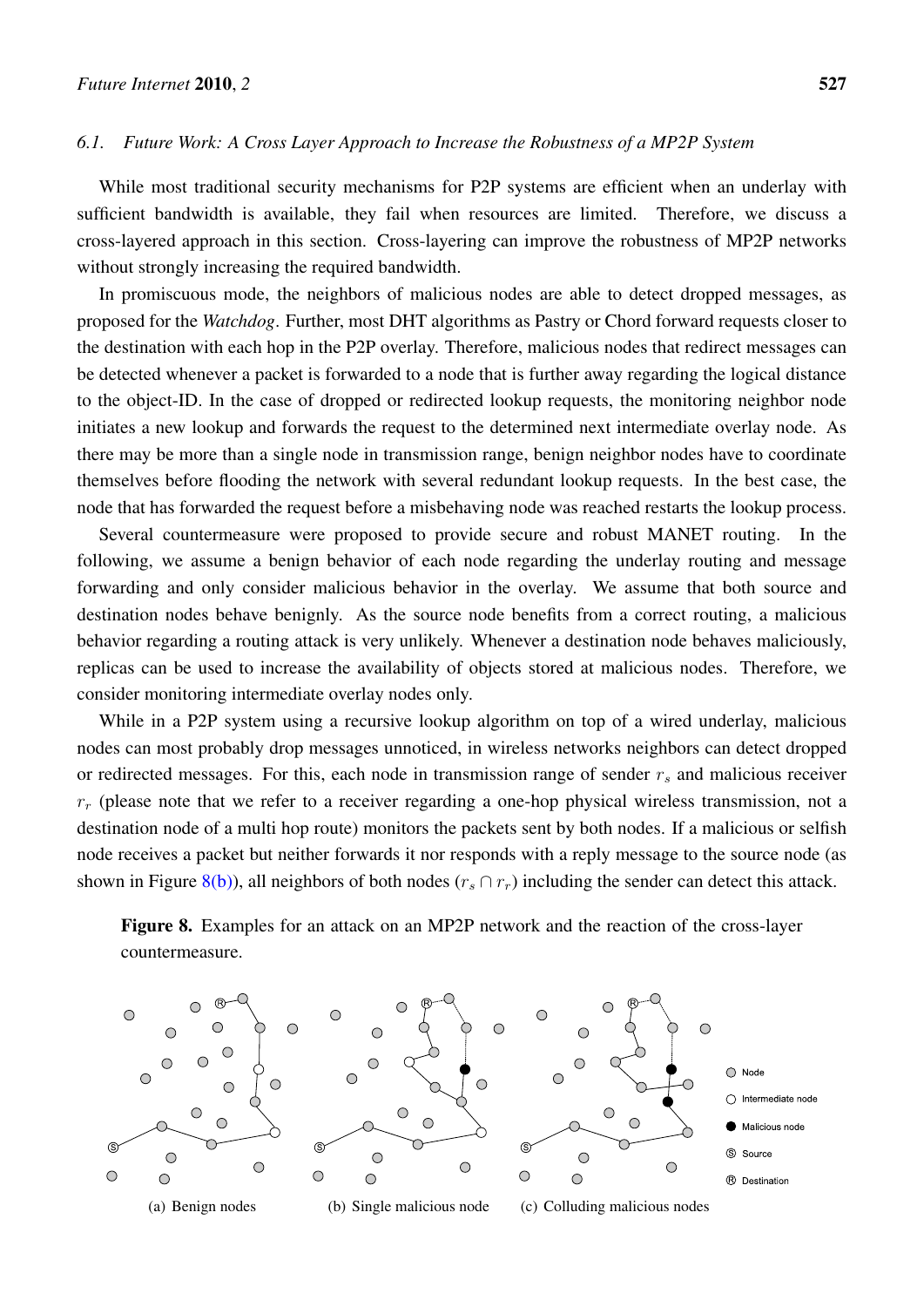#### *6.1. Future Work: A Cross Layer Approach to Increase the Robustness of a MP2P System*

While most traditional security mechanisms for P2P systems are efficient when an underlay with sufficient bandwidth is available, they fail when resources are limited. Therefore, we discuss a cross-layered approach in this section. Cross-layering can improve the robustness of MP2P networks without strongly increasing the required bandwidth.

In promiscuous mode, the neighbors of malicious nodes are able to detect dropped messages, as proposed for the *Watchdog*. Further, most DHT algorithms as Pastry or Chord forward requests closer to the destination with each hop in the P2P overlay. Therefore, malicious nodes that redirect messages can be detected whenever a packet is forwarded to a node that is further away regarding the logical distance to the object-ID. In the case of dropped or redirected lookup requests, the monitoring neighbor node initiates a new lookup and forwards the request to the determined next intermediate overlay node. As there may be more than a single node in transmission range, benign neighbor nodes have to coordinate themselves before flooding the network with several redundant lookup requests. In the best case, the node that has forwarded the request before a misbehaving node was reached restarts the lookup process.

Several countermeasure were proposed to provide secure and robust MANET routing. In the following, we assume a benign behavior of each node regarding the underlay routing and message forwarding and only consider malicious behavior in the overlay. We assume that both source and destination nodes behave benignly. As the source node benefits from a correct routing, a malicious behavior regarding a routing attack is very unlikely. Whenever a destination node behaves maliciously, replicas can be used to increase the availability of objects stored at malicious nodes. Therefore, we consider monitoring intermediate overlay nodes only.

While in a P2P system using a recursive lookup algorithm on top of a wired underlay, malicious nodes can most probably drop messages unnoticed, in wireless networks neighbors can detect dropped or redirected messages. For this, each node in transmission range of sender *r<sup>s</sup>* and malicious receiver  $r_r$  (please note that we refer to a receiver regarding a one-hop physical wireless transmission, not a destination node of a multi hop route) monitors the packets sent by both nodes. If a malicious or selfish node receives a packet but neither forwards it nor responds with a reply message to the source node (as shown in Figure [8\(b\)\)](#page-22-0), all neighbors of both nodes  $(r_s \cap r_r)$  including the sender can detect this attack.

Figure 8. Examples for an attack on an MP2P network and the reaction of the cross-layer countermeasure.

<span id="page-22-0"></span>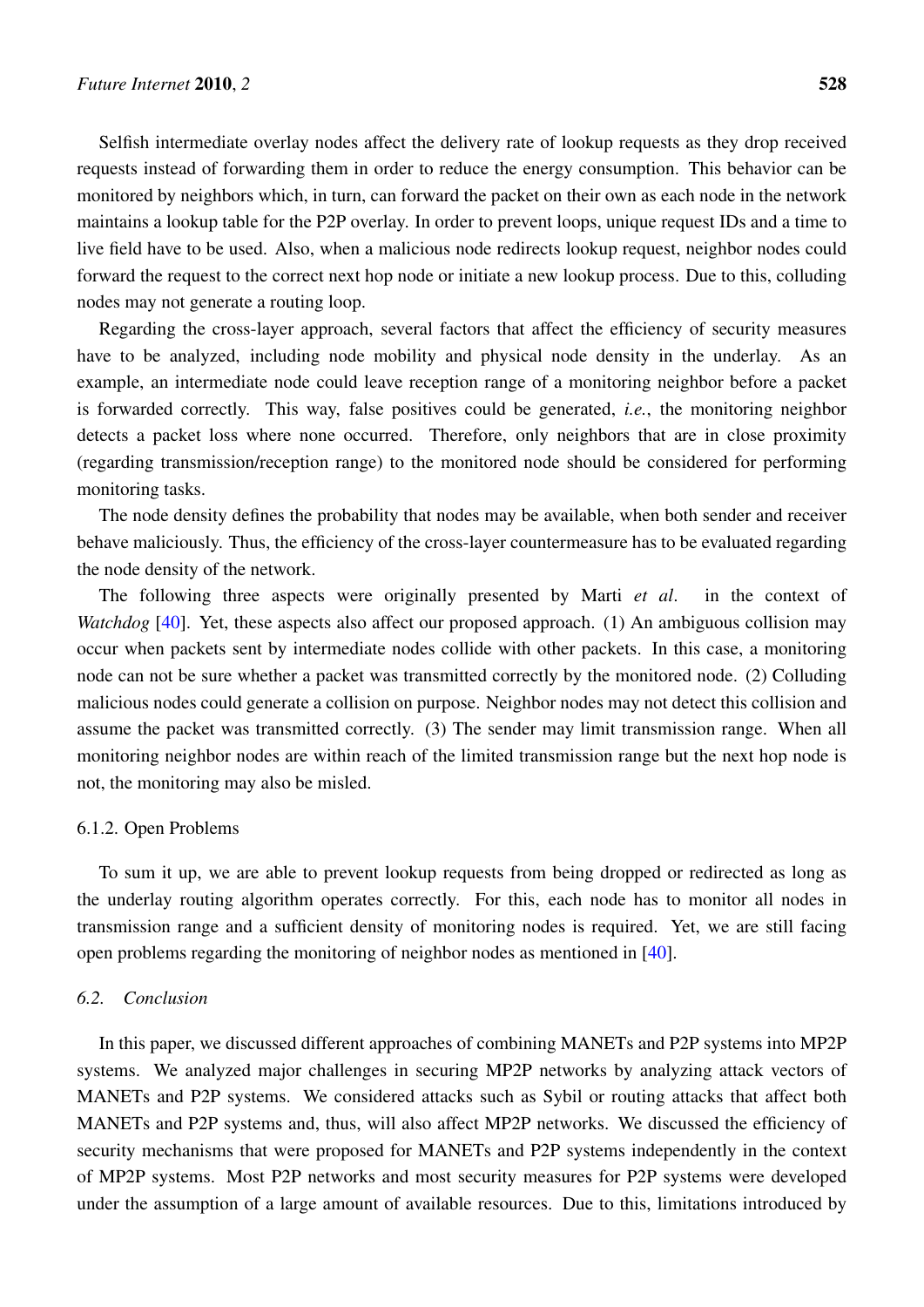Selfish intermediate overlay nodes affect the delivery rate of lookup requests as they drop received requests instead of forwarding them in order to reduce the energy consumption. This behavior can be monitored by neighbors which, in turn, can forward the packet on their own as each node in the network maintains a lookup table for the P2P overlay. In order to prevent loops, unique request IDs and a time to live field have to be used. Also, when a malicious node redirects lookup request, neighbor nodes could forward the request to the correct next hop node or initiate a new lookup process. Due to this, colluding nodes may not generate a routing loop.

Regarding the cross-layer approach, several factors that affect the efficiency of security measures have to be analyzed, including node mobility and physical node density in the underlay. As an example, an intermediate node could leave reception range of a monitoring neighbor before a packet is forwarded correctly. This way, false positives could be generated, *i.e.*, the monitoring neighbor detects a packet loss where none occurred. Therefore, only neighbors that are in close proximity (regarding transmission/reception range) to the monitored node should be considered for performing monitoring tasks.

The node density defines the probability that nodes may be available, when both sender and receiver behave maliciously. Thus, the efficiency of the cross-layer countermeasure has to be evaluated regarding the node density of the network.

The following three aspects were originally presented by Marti *et al*. in the context of *Watchdog* [\[40](#page-26-13)]. Yet, these aspects also affect our proposed approach. (1) An ambiguous collision may occur when packets sent by intermediate nodes collide with other packets. In this case, a monitoring node can not be sure whether a packet was transmitted correctly by the monitored node. (2) Colluding malicious nodes could generate a collision on purpose. Neighbor nodes may not detect this collision and assume the packet was transmitted correctly. (3) The sender may limit transmission range. When all monitoring neighbor nodes are within reach of the limited transmission range but the next hop node is not, the monitoring may also be misled.

## 6.1.2. Open Problems

To sum it up, we are able to prevent lookup requests from being dropped or redirected as long as the underlay routing algorithm operates correctly. For this, each node has to monitor all nodes in transmission range and a sufficient density of monitoring nodes is required. Yet, we are still facing open problems regarding the monitoring of neighbor nodes as mentioned in [[40\]](#page-26-13).

## *6.2. Conclusion*

In this paper, we discussed different approaches of combining MANETs and P2P systems into MP2P systems. We analyzed major challenges in securing MP2P networks by analyzing attack vectors of MANETs and P2P systems. We considered attacks such as Sybil or routing attacks that affect both MANETs and P2P systems and, thus, will also affect MP2P networks. We discussed the efficiency of security mechanisms that were proposed for MANETs and P2P systems independently in the context of MP2P systems. Most P2P networks and most security measures for P2P systems were developed under the assumption of a large amount of available resources. Due to this, limitations introduced by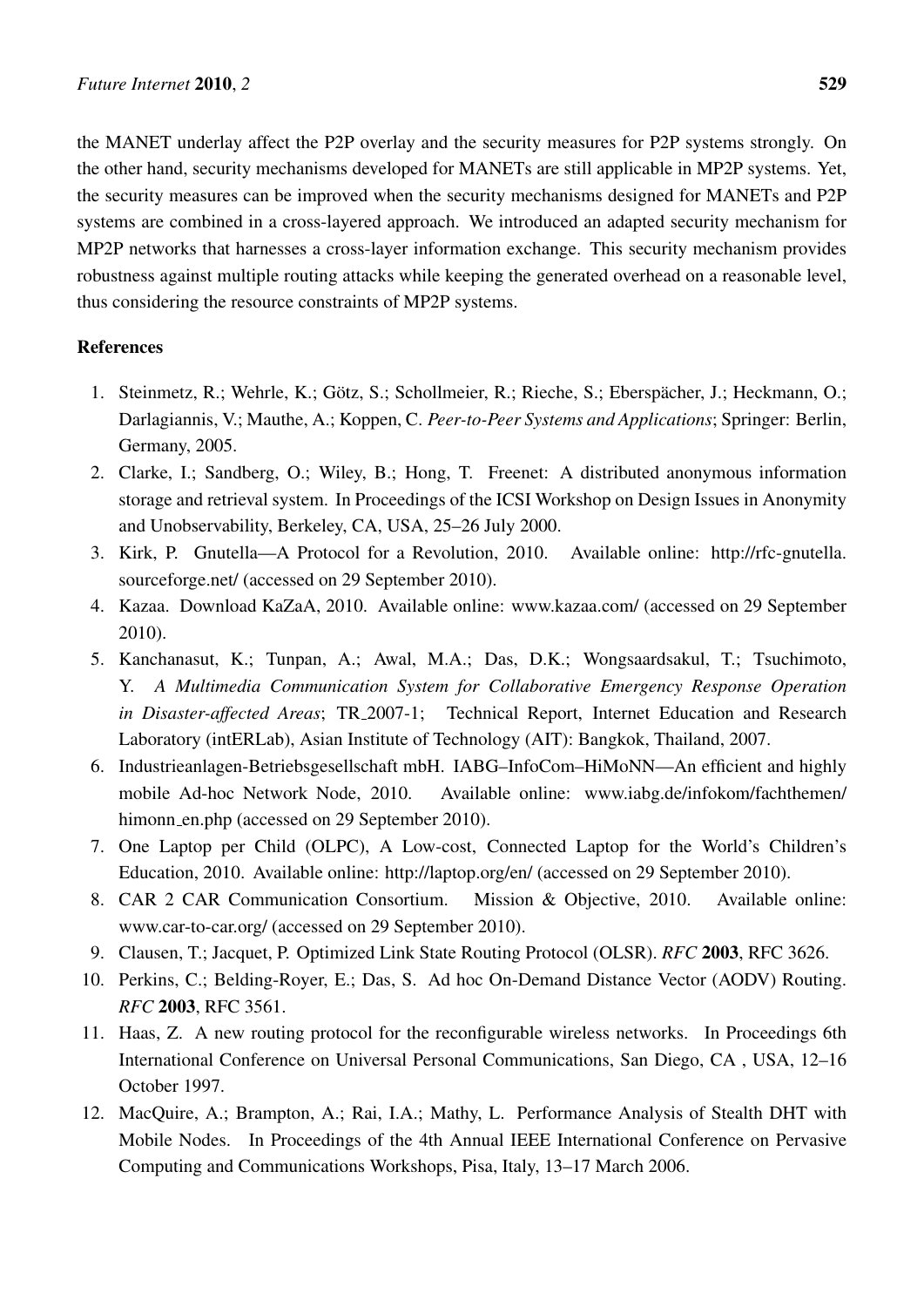the MANET underlay affect the P2P overlay and the security measures for P2P systems strongly. On the other hand, security mechanisms developed for MANETs are still applicable in MP2P systems. Yet, the security measures can be improved when the security mechanisms designed for MANETs and P2P systems are combined in a cross-layered approach. We introduced an adapted security mechanism for MP2P networks that harnesses a cross-layer information exchange. This security mechanism provides robustness against multiple routing attacks while keeping the generated overhead on a reasonable level, thus considering the resource constraints of MP2P systems.

## References

- <span id="page-24-0"></span>1. Steinmetz, R.; Wehrle, K.; Götz, S.; Schollmeier, R.; Rieche, S.; Eberspächer, J.; Heckmann, O.; Darlagiannis, V.; Mauthe, A.; Koppen, C. *Peer-to-Peer Systems and Applications*; Springer: Berlin, Germany, 2005.
- <span id="page-24-1"></span>2. Clarke, I.; Sandberg, O.; Wiley, B.; Hong, T. Freenet: A distributed anonymous information storage and retrieval system. In Proceedings of the ICSI Workshop on Design Issues in Anonymity and Unobservability, Berkeley, CA, USA, 25–26 July 2000.
- <span id="page-24-2"></span>3. Kirk, P. Gnutella—A Protocol for a Revolution, 2010. Available online: http://rfc-gnutella. sourceforge.net/ (accessed on 29 September 2010).
- <span id="page-24-3"></span>4. Kazaa. Download KaZaA, 2010. Available online: www.kazaa.com/ (accessed on 29 September 2010).
- <span id="page-24-4"></span>5. Kanchanasut, K.; Tunpan, A.; Awal, M.A.; Das, D.K.; Wongsaardsakul, T.; Tsuchimoto, Y. *A Multimedia Communication System for Collaborative Emergency Response Operation in Disaster-affected Areas*; TR 2007-1; Technical Report, Internet Education and Research Laboratory (intERLab), Asian Institute of Technology (AIT): Bangkok, Thailand, 2007.
- <span id="page-24-5"></span>6. Industrieanlagen-Betriebsgesellschaft mbH. IABG–InfoCom–HiMoNN—An efficient and highly mobile Ad-hoc Network Node, 2010. Available online: www.iabg.de/infokom/fachthemen/ himonn\_en.php (accessed on 29 September 2010).
- <span id="page-24-6"></span>7. One Laptop per Child (OLPC), A Low-cost, Connected Laptop for the World's Children's Education, 2010. Available online: http://laptop.org/en/ (accessed on 29 September 2010).
- <span id="page-24-7"></span>8. CAR 2 CAR Communication Consortium. Mission & Objective, 2010. Available online: www.car-to-car.org/ (accessed on 29 September 2010).
- <span id="page-24-8"></span>9. Clausen, T.; Jacquet, P. Optimized Link State Routing Protocol (OLSR). *RFC* 2003, RFC 3626.
- <span id="page-24-9"></span>10. Perkins, C.; Belding-Royer, E.; Das, S. Ad hoc On-Demand Distance Vector (AODV) Routing. *RFC* 2003, RFC 3561.
- <span id="page-24-10"></span>11. Haas, Z. A new routing protocol for the reconfigurable wireless networks. In Proceedings 6th International Conference on Universal Personal Communications, San Diego, CA , USA, 12–16 October 1997.
- <span id="page-24-11"></span>12. MacQuire, A.; Brampton, A.; Rai, I.A.; Mathy, L. Performance Analysis of Stealth DHT with Mobile Nodes. In Proceedings of the 4th Annual IEEE International Conference on Pervasive Computing and Communications Workshops, Pisa, Italy, 13–17 March 2006.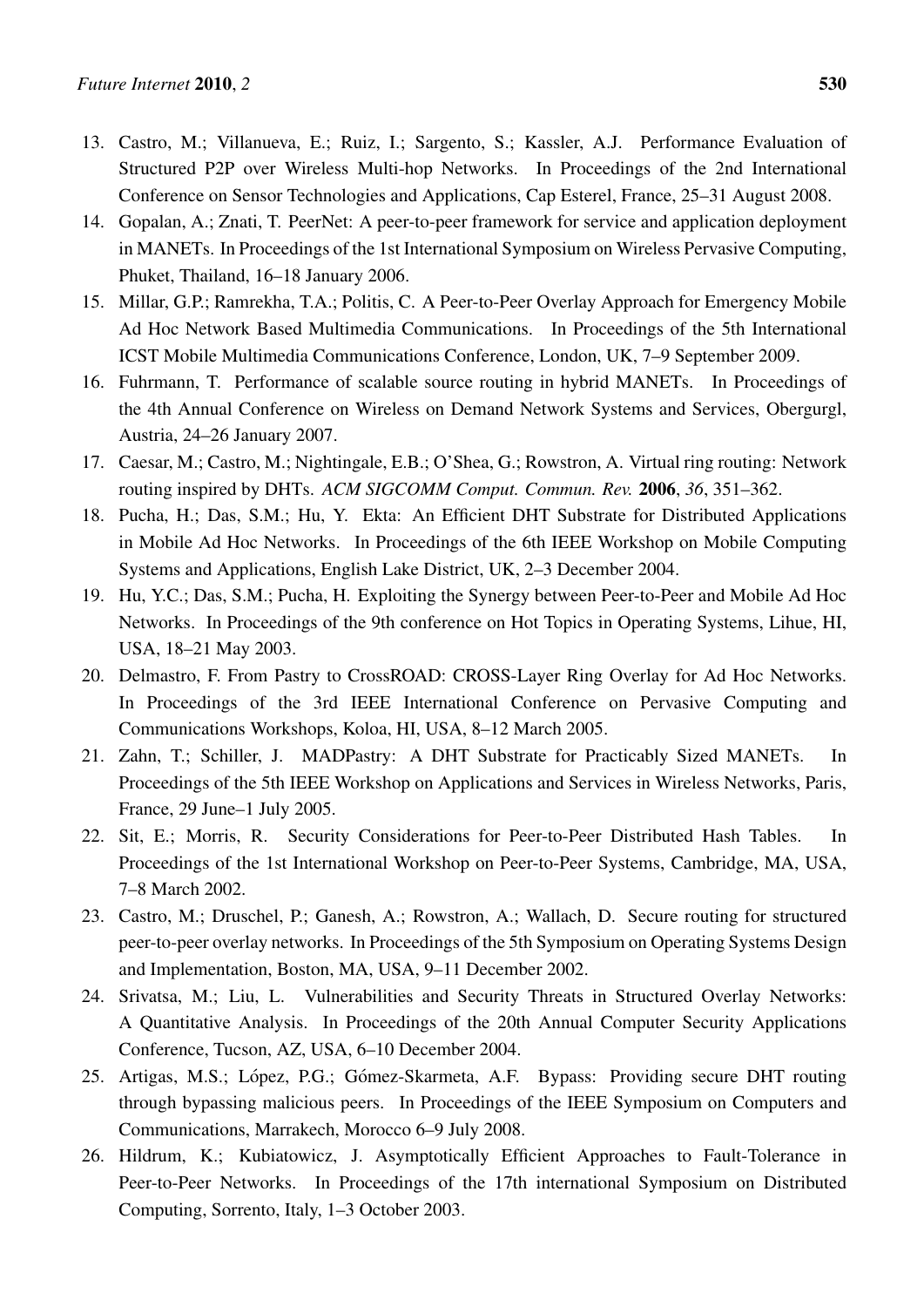- <span id="page-25-0"></span>13. Castro, M.; Villanueva, E.; Ruiz, I.; Sargento, S.; Kassler, A.J. Performance Evaluation of Structured P2P over Wireless Multi-hop Networks. In Proceedings of the 2nd International Conference on Sensor Technologies and Applications, Cap Esterel, France, 25–31 August 2008.
- <span id="page-25-1"></span>14. Gopalan, A.; Znati, T. PeerNet: A peer-to-peer framework for service and application deployment in MANETs. In Proceedings of the 1st International Symposium on Wireless Pervasive Computing, Phuket, Thailand, 16–18 January 2006.
- <span id="page-25-2"></span>15. Millar, G.P.; Ramrekha, T.A.; Politis, C. A Peer-to-Peer Overlay Approach for Emergency Mobile Ad Hoc Network Based Multimedia Communications. In Proceedings of the 5th International ICST Mobile Multimedia Communications Conference, London, UK, 7–9 September 2009.
- <span id="page-25-3"></span>16. Fuhrmann, T. Performance of scalable source routing in hybrid MANETs. In Proceedings of the 4th Annual Conference on Wireless on Demand Network Systems and Services, Obergurgl, Austria, 24–26 January 2007.
- <span id="page-25-4"></span>17. Caesar, M.; Castro, M.; Nightingale, E.B.; O'Shea, G.; Rowstron, A. Virtual ring routing: Network routing inspired by DHTs. *ACM SIGCOMM Comput. Commun. Rev.* 2006, *36*, 351–362.
- <span id="page-25-5"></span>18. Pucha, H.; Das, S.M.; Hu, Y. Ekta: An Efficient DHT Substrate for Distributed Applications in Mobile Ad Hoc Networks. In Proceedings of the 6th IEEE Workshop on Mobile Computing Systems and Applications, English Lake District, UK, 2–3 December 2004.
- <span id="page-25-6"></span>19. Hu, Y.C.; Das, S.M.; Pucha, H. Exploiting the Synergy between Peer-to-Peer and Mobile Ad Hoc Networks. In Proceedings of the 9th conference on Hot Topics in Operating Systems, Lihue, HI, USA, 18–21 May 2003.
- <span id="page-25-7"></span>20. Delmastro, F. From Pastry to CrossROAD: CROSS-Layer Ring Overlay for Ad Hoc Networks. In Proceedings of the 3rd IEEE International Conference on Pervasive Computing and Communications Workshops, Koloa, HI, USA, 8–12 March 2005.
- <span id="page-25-8"></span>21. Zahn, T.; Schiller, J. MADPastry: A DHT Substrate for Practicably Sized MANETs. In Proceedings of the 5th IEEE Workshop on Applications and Services in Wireless Networks, Paris, France, 29 June–1 July 2005.
- <span id="page-25-9"></span>22. Sit, E.; Morris, R. Security Considerations for Peer-to-Peer Distributed Hash Tables. In Proceedings of the 1st International Workshop on Peer-to-Peer Systems, Cambridge, MA, USA, 7–8 March 2002.
- <span id="page-25-10"></span>23. Castro, M.; Druschel, P.; Ganesh, A.; Rowstron, A.; Wallach, D. Secure routing for structured peer-to-peer overlay networks. In Proceedings of the 5th Symposium on Operating Systems Design and Implementation, Boston, MA, USA, 9–11 December 2002.
- <span id="page-25-11"></span>24. Srivatsa, M.; Liu, L. Vulnerabilities and Security Threats in Structured Overlay Networks: A Quantitative Analysis. In Proceedings of the 20th Annual Computer Security Applications Conference, Tucson, AZ, USA, 6–10 December 2004.
- <span id="page-25-12"></span>25. Artigas, M.S.; López, P.G.; Gómez-Skarmeta, A.F. Bypass: Providing secure DHT routing through bypassing malicious peers. In Proceedings of the IEEE Symposium on Computers and Communications, Marrakech, Morocco 6–9 July 2008.
- <span id="page-25-13"></span>26. Hildrum, K.; Kubiatowicz, J. Asymptotically Efficient Approaches to Fault-Tolerance in Peer-to-Peer Networks. In Proceedings of the 17th international Symposium on Distributed Computing, Sorrento, Italy, 1–3 October 2003.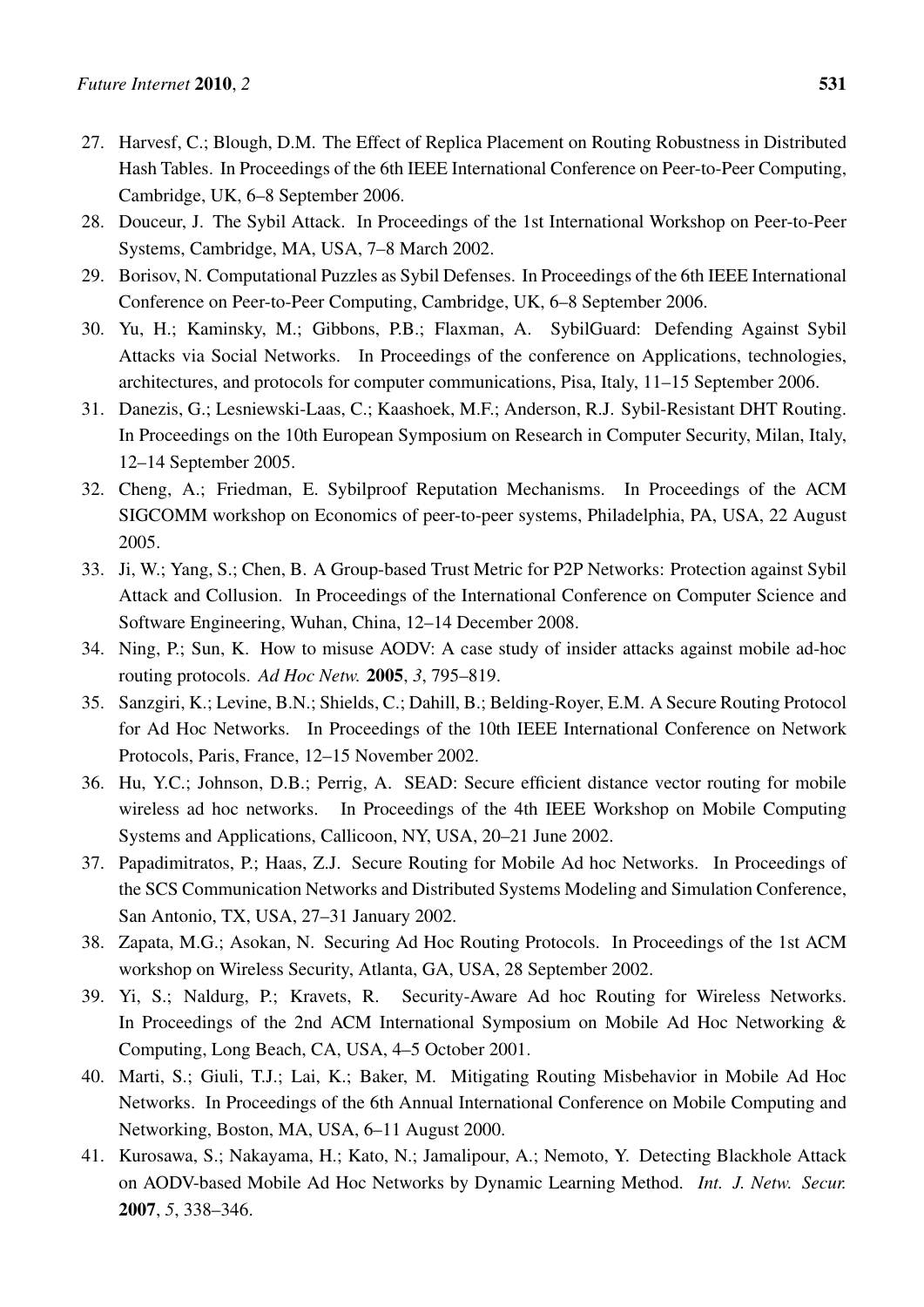- <span id="page-26-0"></span>27. Harvesf, C.; Blough, D.M. The Effect of Replica Placement on Routing Robustness in Distributed Hash Tables. In Proceedings of the 6th IEEE International Conference on Peer-to-Peer Computing, Cambridge, UK, 6–8 September 2006.
- <span id="page-26-1"></span>28. Douceur, J. The Sybil Attack. In Proceedings of the 1st International Workshop on Peer-to-Peer Systems, Cambridge, MA, USA, 7–8 March 2002.
- <span id="page-26-2"></span>29. Borisov, N. Computational Puzzles as Sybil Defenses. In Proceedings of the 6th IEEE International Conference on Peer-to-Peer Computing, Cambridge, UK, 6–8 September 2006.
- <span id="page-26-3"></span>30. Yu, H.; Kaminsky, M.; Gibbons, P.B.; Flaxman, A. SybilGuard: Defending Against Sybil Attacks via Social Networks. In Proceedings of the conference on Applications, technologies, architectures, and protocols for computer communications, Pisa, Italy, 11–15 September 2006.
- <span id="page-26-4"></span>31. Danezis, G.; Lesniewski-Laas, C.; Kaashoek, M.F.; Anderson, R.J. Sybil-Resistant DHT Routing. In Proceedings on the 10th European Symposium on Research in Computer Security, Milan, Italy, 12–14 September 2005.
- <span id="page-26-5"></span>32. Cheng, A.; Friedman, E. Sybilproof Reputation Mechanisms. In Proceedings of the ACM SIGCOMM workshop on Economics of peer-to-peer systems, Philadelphia, PA, USA, 22 August 2005.
- <span id="page-26-6"></span>33. Ji, W.; Yang, S.; Chen, B. A Group-based Trust Metric for P2P Networks: Protection against Sybil Attack and Collusion. In Proceedings of the International Conference on Computer Science and Software Engineering, Wuhan, China, 12–14 December 2008.
- <span id="page-26-7"></span>34. Ning, P.; Sun, K. How to misuse AODV: A case study of insider attacks against mobile ad-hoc routing protocols. *Ad Hoc Netw.* 2005, *3*, 795–819.
- <span id="page-26-8"></span>35. Sanzgiri, K.; Levine, B.N.; Shields, C.; Dahill, B.; Belding-Royer, E.M. A Secure Routing Protocol for Ad Hoc Networks. In Proceedings of the 10th IEEE International Conference on Network Protocols, Paris, France, 12–15 November 2002.
- <span id="page-26-9"></span>36. Hu, Y.C.; Johnson, D.B.; Perrig, A. SEAD: Secure efficient distance vector routing for mobile wireless ad hoc networks. In Proceedings of the 4th IEEE Workshop on Mobile Computing Systems and Applications, Callicoon, NY, USA, 20–21 June 2002.
- <span id="page-26-10"></span>37. Papadimitratos, P.; Haas, Z.J. Secure Routing for Mobile Ad hoc Networks. In Proceedings of the SCS Communication Networks and Distributed Systems Modeling and Simulation Conference, San Antonio, TX, USA, 27–31 January 2002.
- <span id="page-26-11"></span>38. Zapata, M.G.; Asokan, N. Securing Ad Hoc Routing Protocols. In Proceedings of the 1st ACM workshop on Wireless Security, Atlanta, GA, USA, 28 September 2002.
- <span id="page-26-12"></span>39. Yi, S.; Naldurg, P.; Kravets, R. Security-Aware Ad hoc Routing for Wireless Networks. In Proceedings of the 2nd ACM International Symposium on Mobile Ad Hoc Networking & Computing, Long Beach, CA, USA, 4–5 October 2001.
- <span id="page-26-13"></span>40. Marti, S.; Giuli, T.J.; Lai, K.; Baker, M. Mitigating Routing Misbehavior in Mobile Ad Hoc Networks. In Proceedings of the 6th Annual International Conference on Mobile Computing and Networking, Boston, MA, USA, 6–11 August 2000.
- <span id="page-26-14"></span>41. Kurosawa, S.; Nakayama, H.; Kato, N.; Jamalipour, A.; Nemoto, Y. Detecting Blackhole Attack on AODV-based Mobile Ad Hoc Networks by Dynamic Learning Method. *Int. J. Netw. Secur.* 2007, *5*, 338–346.